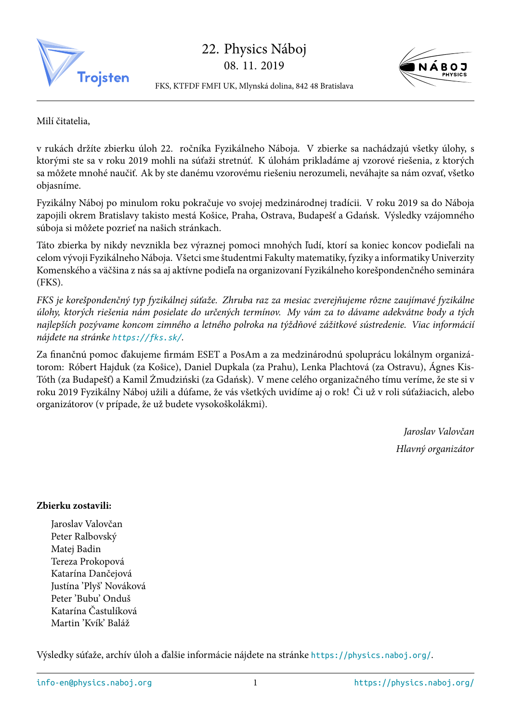

22. Physics Náboj 08. 11. 2019



FKS, KTFDF FMFI UK, Mlynská dolina, 842 48 Bratislava

Milí čitatelia,

v rukách držíte zbierku úloh 22. ročníka Fyzikálneho Náboja. V zbierke sa nachádzajú všetky úlohy, s ktorými ste sa v roku 2019 mohli na súťaži stretnúť. K úlohám prikladáme aj vzorové riešenia, z ktorých sa môžete mnohé naučiť. Ak by ste danému vzorovému riešeniu nerozumeli, neváhajte sa nám ozvať, všetko objasníme.

Fyzikálny Náboj po minulom roku pokračuje vo svojej medzinárodnej tradícii. V roku 2019 sa do Náboja zapojili okrem Bratislavy takisto mestá Košice, Praha, Ostrava, Budapešť a Gdańsk. Výsledky vzájomného súboja si môžete pozrieť na našich stránkach.

Táto zbierka by nikdy nevznikla bez výraznej pomoci mnohých ľudí, ktorí sa koniec koncov podieľali na celom vývoji Fyzikálneho Náboja. Všetci sme študentmi Fakulty matematiky, fyziky a informatiky Univerzity Komenského a väčšina z nás sa aj aktívne podieľa na organizovaní Fyzikálneho korešpondenčného seminára (FKS).

*FKS je korešpondenčný typ fyzikálnej súťaže. Zhruba raz za mesiac zverejňujeme rôzne zaujímavé fyzikálne úlohy, ktorých riešenia nám posielate do určených termínov. My vám za to dávame adekvátne body a tých najlepších pozývame koncom zimného a letného polroka na týždňové zážitkové sústredenie. Viac informácií nájdete na stránke https://fks.sk/.*

Za finančnú pomoc ďakujeme firmám ESET a PosAm a za medzinárodnú spoluprácu lokálnym organizátorom: Róbert Hajduk (za Košice), Daniel Dupkala (za Prahu), Lenka Plachtová (za Ostravu), Ágnes Kis-Tóth (za Budapešť[\) a Kamil Żmudzi](https://fks.sk/)ński (za Gdańsk). V mene celého organizačného tímu veríme, že ste si v roku 2019 Fyzikálny Náboj užili a dúfame, že vás všetkých uvidíme aj o rok! Či už v roli súťažiacich, alebo organizátorov (v prípade, že už budete vysokoškolákmi).

> *Jaroslav Valovčan Hlavný organizátor*

## **Zbierku zostavili:**

Jaroslav Valovčan Peter Ralbovský Matej Badin Tereza Prokopová Katarína Dančejová Justína 'Plyš' Nováková Peter 'Bubu' Onduš Katarína Častulíková Martin 'Kvík' Baláž

Výsledky súťaže, archív úloh a ďalšie informácie nájdete na stránke https://physics.naboj.org/.

info-en@physics.naboj.org 1 https://physics.naboj.org/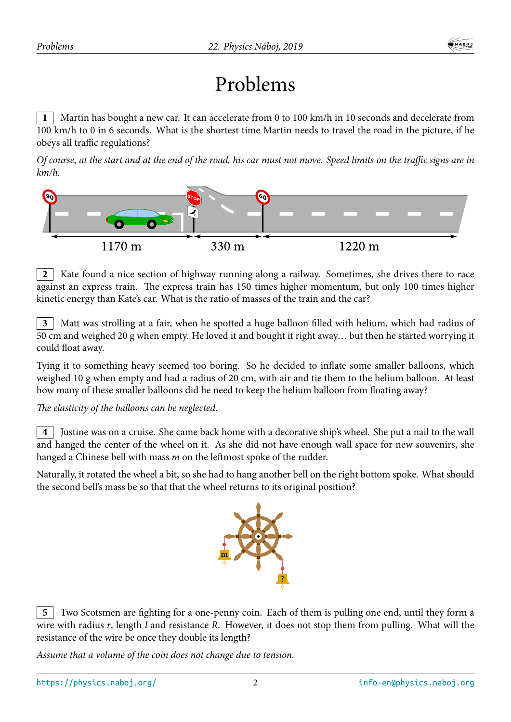## Problems

**1** Martin has bought a new car. It can accelerate from 0 to 100 km/h in 10 seconds and decelerate from 100 km/h to 0 in 6 seconds. What is the shortest time Martin needs to travel the road in the picture, if he obeys all traffic regulations?

*Of course, at the start and at the end of the road, his car must not move. Speed limits on the traffic signs are in km/h.*



**2** Kate found a nice section of highway running along a railway. Sometimes, she drives there to race against an express train. The express train has 150 times higher momentum, but only 100 times higher kinetic energy than Kate's car. What is the ratio of masses of the train and the car?

**3** Matt was strolling at a fair, when he spotted a huge balloon filled with helium, which had radius of 50 cm and weighed 20 g when empty. He loved it and bought it right away… but then he started worrying it could float away.

Tying it to something heavy seemed too boring. So he decided to inflate some smaller balloons, which weighed 10 g when empty and had a radius of 20 cm, with air and tie them to the helium balloon. At least how many of these smaller balloons did he need to keep the helium balloon from floating away?

*The elasticity of the balloons can be neglected.*

**4** Justine was on a cruise. She came back home with a decorative ship's wheel. She put a nail to the wall and hanged the center of the wheel on it. As she did not have enough wall space for new souvenirs, she hanged a Chinese bell with mass *m* on the leftmost spoke of the rudder.

Naturally, it rotated the wheel a bit, so she had to hang another bell on the right bottom spoke. What should the second bell's mass be so that that the wheel returns to its original position?



**5** Two Scotsmen are fighting for a one-penny coin. Each of them is pulling one end, until they form a wire with radius *r*, length *l* and resistance *R*. However, it does not stop them from pulling. What will the resistance of the wire be once they double its length?

*Assume that a volume of the coin does not change due to tension.*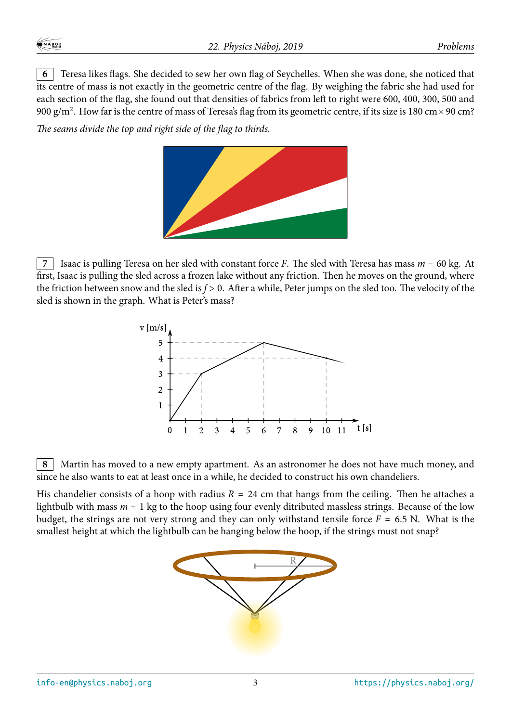**6** Teresa likes flags. She decided to sew her own flag of Seychelles. When she was done, she noticed that its centre of mass is not exactly in the geometric centre of the flag. By weighing the fabric she had used for each section of the flag, she found out that densities of fabrics from left to right were 600, 400, 300, 500 and 900 g/m<sup>2</sup>. How far is the centre of mass of Teresa's flag from its geometric centre, if its size is 180 cm  $\times$  90 cm?

*The seams divide the top and right side of the flag to thirds.*



**7** Isaac is pulling Teresa on her sled with constant force *F*. The sled with Teresa has mass *m* = 60 kg. At first, Isaac is pulling the sled across a frozen lake without any friction. Then he moves on the ground, where the friction between snow and the sled is *f* > 0. After a while, Peter jumps on the sled too. The velocity of the sled is shown in the graph. What is Peter's mass?



**8** Martin has moved to a new empty apartment. As an astronomer he does not have much money, and since he also wants to eat at least once in a while, he decided to construct his own chandeliers.

His chandelier consists of a hoop with radius  $R = 24$  cm that hangs from the ceiling. Then he attaches a lightbulb with mass  $m = 1$  kg to the hoop using four evenly ditributed massless strings. Because of the low budget, the strings are not very strong and they can only withstand tensile force  $F = 6.5$  N. What is the smallest height at which the lightbulb can be hanging below the hoop, if the strings must not snap?

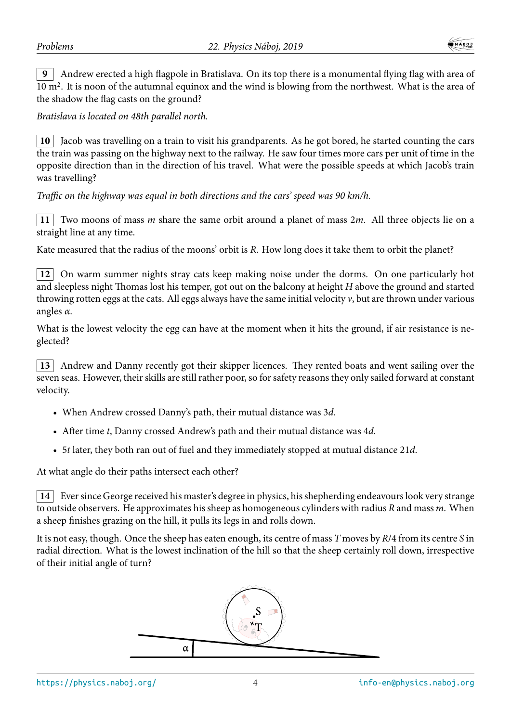**9** Andrew erected a high flagpole in Bratislava. On its top there is a monumental flying flag with area of 10 m<sup>2</sup>. It is noon of the autumnal equinox and the wind is blowing from the northwest. What is the area of the shadow the flag casts on the ground?

*Bratislava is located on 48th parallel north.*

**10** Jacob was travelling on a train to visit his grandparents. As he got bored, he started counting the cars the train was passing on the highway next to the railway. He saw four times more cars per unit of time in the opposite direction than in the direction of his travel. What were the possible speeds at which Jacob's train was travelling?

*Traffic on the highway was equal in both directions and the cars' speed was 90 km/h.*

**11** Two moons of mass *m* share the same orbit around a planet of mass 2*m*. All three objects lie on a straight line at any time.

Kate measured that the radius of the moons' orbit is *R*. How long does it take them to orbit the planet?

**12** On warm summer nights stray cats keep making noise under the dorms. On one particularly hot and sleepless night Thomas lost his temper, got out on the balcony at height *H* above the ground and started throwing rotten eggs at the cats. All eggs always have the same initial velocity  $v$ , but are thrown under various angles *α*.

What is the lowest velocity the egg can have at the moment when it hits the ground, if air resistance is neglected?

**13** Andrew and Danny recently got their skipper licences. They rented boats and went sailing over the seven seas. However, their skills are still rather poor, so for safety reasons they only sailed forward at constant velocity.

- When Andrew crossed Danny's path, their mutual distance was 3*d*.
- After time *t*, Danny crossed Andrew's path and their mutual distance was 4*d*.
- 5*t* later, they both ran out of fuel and they immediately stopped at mutual distance 21*d*.

At what angle do their paths intersect each other?

**14** Ever since George received his master's degree in physics, his shepherding endeavours look very strange to outside observers. He approximates his sheep as homogeneous cylinders with radius *R* and mass *m*. When a sheep finishes grazing on the hill, it pulls its legs in and rolls down.

It is not easy, though. Once the sheep has eaten enough, its centre of mass *T* moves by *R*/4 from its centre *S* in radial direction. What is the lowest inclination of the hill so that the sheep certainly roll down, irrespective of their initial angle of turn?

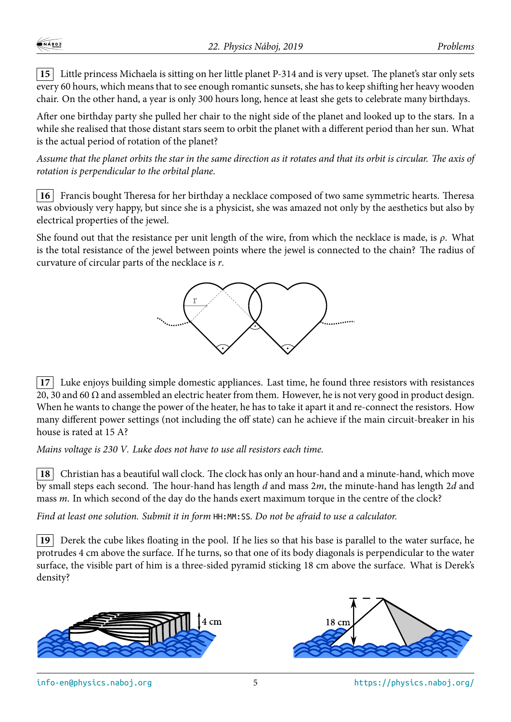**15** Little princess Michaela is sitting on her little planet P-314 and is very upset. The planet's star only sets every 60 hours, which means that to see enough romantic sunsets, she has to keep shifting her heavy wooden chair. On the other hand, a year is only 300 hours long, hence at least she gets to celebrate many birthdays.

After one birthday party she pulled her chair to the night side of the planet and looked up to the stars. In a while she realised that those distant stars seem to orbit the planet with a different period than her sun. What is the actual period of rotation of the planet?

*Assume that the planet orbits the star in the same direction as it rotates and that its orbit is circular. The axis of rotation is perpendicular to the orbital plane.*

**16** Francis bought Theresa for her birthday a necklace composed of two same symmetric hearts. Theresa was obviously very happy, but since she is a physicist, she was amazed not only by the aesthetics but also by electrical properties of the jewel.

She found out that the resistance per unit length of the wire, from which the necklace is made, is *ρ*. What is the total resistance of the jewel between points where the jewel is connected to the chain? The radius of curvature of circular parts of the necklace is *r*.



**17** Luke enjoys building simple domestic appliances. Last time, he found three resistors with resistances 20, 30 and 60  $\Omega$  and assembled an electric heater from them. However, he is not very good in product design. When he wants to change the power of the heater, he has to take it apart it and re-connect the resistors. How many different power settings (not including the off state) can he achieve if the main circuit-breaker in his house is rated at 15 A?

*Mains voltage is 230 V. Luke does not have to use all resistors each time.*

**18** Christian has a beautiful wall clock. The clock has only an hour-hand and a minute-hand, which move by small steps each second. The hour-hand has length *d* and mass 2*m*, the minute-hand has length 2*d* and mass *m*. In which second of the day do the hands exert maximum torque in the centre of the clock?

*Find at least one solution. Submit it in form* HH:MM:SS*. Do not be afraid to use a calculator.*

**19** Derek the cube likes floating in the pool. If he lies so that his base is parallel to the water surface, he protrudes 4 cm above the surface. If he turns, so that one of its body diagonals is perpendicular to the water surface, the visible part of him is a three-sided pyramid sticking 18 cm above the surface. What is Derek's density?





info-en@physics.naboj.org 5 https://physics.naboj.org/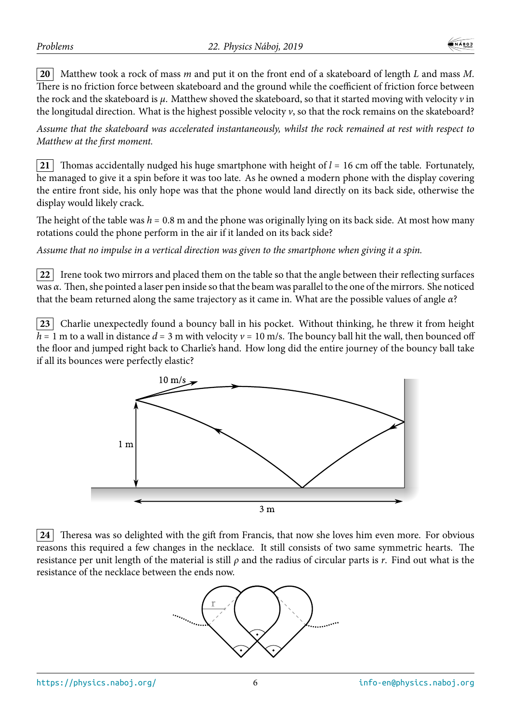**20** Matthew took a rock of mass *m* and put it on the front end of a skateboard of length *L* and mass *M*. There is no friction force between skateboard and the ground while the coefficient of friction force between the rock and the skateboard is *μ*. Matthew shoved the skateboard, so that it started moving with velocity *v* in the longitudal direction. What is the highest possible velocity *v*, so that the rock remains on the skateboard?

*Assume that the skateboard was accelerated instantaneously, whilst the rock remained at rest with respect to Matthew at the first moment.*

**21** Thomas accidentally nudged his huge smartphone with height of *l* = 16 cm off the table. Fortunately, he managed to give it a spin before it was too late. As he owned a modern phone with the display covering the entire front side, his only hope was that the phone would land directly on its back side, otherwise the display would likely crack.

The height of the table was  $h = 0.8$  m and the phone was originally lying on its back side. At most how many rotations could the phone perform in the air if it landed on its back side?

*Assume that no impulse in a vertical direction was given to the smartphone when giving it a spin.*

**22** Irene took two mirrors and placed them on the table so that the angle between their reflecting surfaces was *α*. Then, she pointed a laser pen inside so that the beam was parallel to the one of the mirrors. She noticed that the beam returned along the same trajectory as it came in. What are the possible values of angle *α*?

**23** Charlie unexpectedly found a bouncy ball in his pocket. Without thinking, he threw it from height  $h = 1$  m to a wall in distance  $d = 3$  m with velocity  $v = 10$  m/s. The bouncy ball hit the wall, then bounced off the floor and jumped right back to Charlie's hand. How long did the entire journey of the bouncy ball take if all its bounces were perfectly elastic?



**24** Theresa was so delighted with the gift from Francis, that now she loves him even more. For obvious reasons this required a few changes in the necklace. It still consists of two same symmetric hearts. The resistance per unit length of the material is still *ρ* and the radius of circular parts is *r*. Find out what is the resistance of the necklace between the ends now.

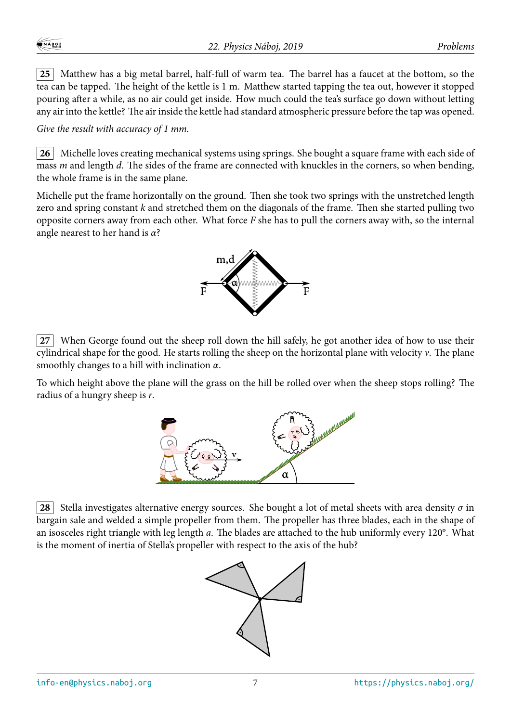**25** Matthew has a big metal barrel, half-full of warm tea. The barrel has a faucet at the bottom, so the tea can be tapped. The height of the kettle is 1 m. Matthew started tapping the tea out, however it stopped pouring after a while, as no air could get inside. How much could the tea's surface go down without letting any air into the kettle? The air inside the kettle had standard atmospheric pressure before the tap was opened.

*Give the result with accuracy of 1 mm.*

**26** Michelle loves creating mechanical systems using springs. She bought a square frame with each side of mass *m* and length *d*. The sides of the frame are connected with knuckles in the corners, so when bending, the whole frame is in the same plane.

Michelle put the frame horizontally on the ground. Then she took two springs with the unstretched length zero and spring constant *k* and stretched them on the diagonals of the frame. Then she started pulling two opposite corners away from each other. What force *F* she has to pull the corners away with, so the internal angle nearest to her hand is *α*?



**27** When George found out the sheep roll down the hill safely, he got another idea of how to use their cylindrical shape for the good. He starts rolling the sheep on the horizontal plane with velocity *v*. The plane smoothly changes to a hill with inclination *α*.

To which height above the plane will the grass on the hill be rolled over when the sheep stops rolling? The radius of a hungry sheep is *r*.



**28** Stella investigates alternative energy sources. She bought a lot of metal sheets with area density  $\sigma$  in bargain sale and welded a simple propeller from them. The propeller has three blades, each in the shape of an isosceles right triangle with leg length *a*. The blades are attached to the hub uniformly every 120°. What is the moment of inertia of Stella's propeller with respect to the axis of the hub?

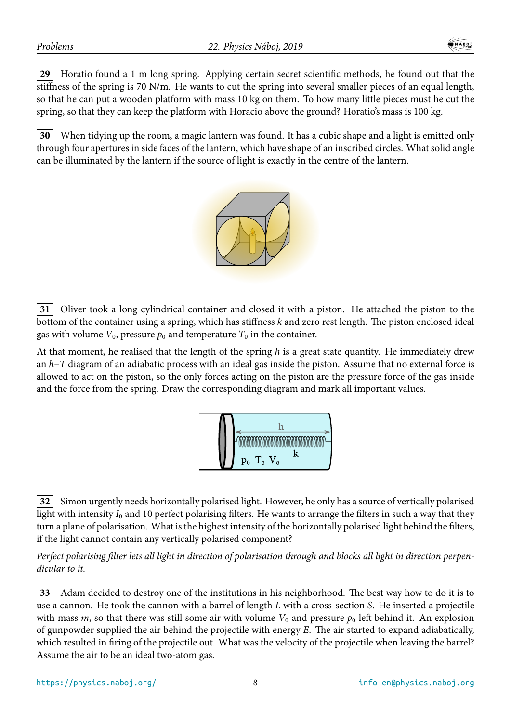**29** Horatio found a 1 m long spring. Applying certain secret scientific methods, he found out that the stiffness of the spring is 70 N/m. He wants to cut the spring into several smaller pieces of an equal length, so that he can put a wooden platform with mass 10 kg on them. To how many little pieces must he cut the spring, so that they can keep the platform with Horacio above the ground? Horatio's mass is 100 kg.

**30** When tidying up the room, a magic lantern was found. It has a cubic shape and a light is emitted only through four apertures in side faces of the lantern, which have shape of an inscribed circles. What solid angle can be illuminated by the lantern if the source of light is exactly in the centre of the lantern.



**31** Oliver took a long cylindrical container and closed it with a piston. He attached the piston to the bottom of the container using a spring, which has stiffness *k* and zero rest length. The piston enclosed ideal gas with volume  $V_0$ , pressure  $p_0$  and temperature  $T_0$  in the container.

At that moment, he realised that the length of the spring *h* is a great state quantity. He immediately drew an *h*–*T* diagram of an adiabatic process with an ideal gas inside the piston. Assume that no external force is allowed to act on the piston, so the only forces acting on the piston are the pressure force of the gas inside and the force from the spring. Draw the corresponding diagram and mark all important values.



**32** Simon urgently needs horizontally polarised light. However, he only has a source of vertically polarised light with intensity *I*<sup>0</sup> and 10 perfect polarising filters. He wants to arrange the filters in such a way that they turn a plane of polarisation. What is the highest intensity of the horizontally polarised light behind the filters, if the light cannot contain any vertically polarised component?

*Perfect polarising filter lets all light in direction of polarisation through and blocks all light in direction perpendicular to it.*

**33** Adam decided to destroy one of the institutions in his neighborhood. The best way how to do it is to use a cannon. He took the cannon with a barrel of length *L* with a cross-section *S*. He inserted a projectile with mass  $m$ , so that there was still some air with volume  $V_0$  and pressure  $p_0$  left behind it. An explosion of gunpowder supplied the air behind the projectile with energy *E*. The air started to expand adiabatically, which resulted in firing of the projectile out. What was the velocity of the projectile when leaving the barrel? Assume the air to be an ideal two-atom gas.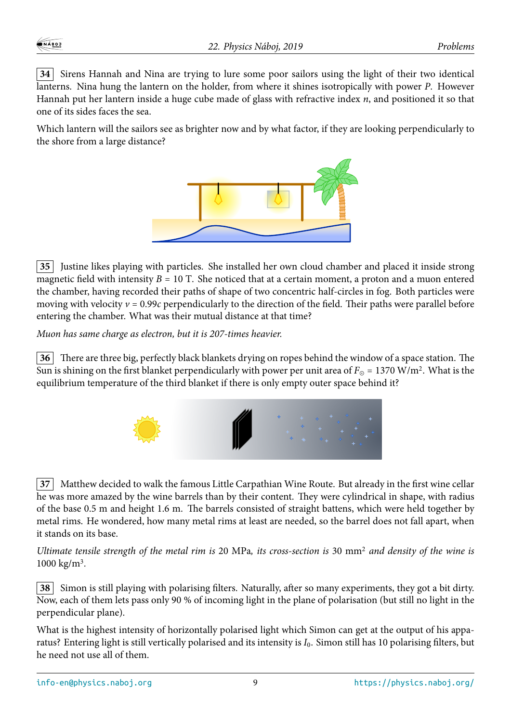**34** Sirens Hannah and Nina are trying to lure some poor sailors using the light of their two identical lanterns. Nina hung the lantern on the holder, from where it shines isotropically with power *P*. However Hannah put her lantern inside a huge cube made of glass with refractive index *n*, and positioned it so that one of its sides faces the sea.

Which lantern will the sailors see as brighter now and by what factor, if they are looking perpendicularly to the shore from a large distance?



**35** Justine likes playing with particles. She installed her own cloud chamber and placed it inside strong magnetic field with intensity  $B = 10$  T. She noticed that at a certain moment, a proton and a muon entered the chamber, having recorded their paths of shape of two concentric half-circles in fog. Both particles were moving with velocity  $v = 0.99c$  perpendicularly to the direction of the field. Their paths were parallel before entering the chamber. What was their mutual distance at that time?

*Muon has same charge as electron, but it is 207-times heavier.*

**36** There are three big, perfectly black blankets drying on ropes behind the window of a space station. The Sun is shining on the first blanket perpendicularly with power per unit area of  $F_{\odot}$  = 1370 W/m<sup>2</sup>. What is the equilibrium temperature of the third blanket if there is only empty outer space behind it?



**37** Matthew decided to walk the famous Little Carpathian Wine Route. But already in the first wine cellar he was more amazed by the wine barrels than by their content. They were cylindrical in shape, with radius of the base 0.5 m and height 1.6 m. The barrels consisted of straight battens, which were held together by metal rims. He wondered, how many metal rims at least are needed, so the barrel does not fall apart, when it stands on its base.

*Ultimate tensile strength of the metal rim is* 20 MPa*, its cross-section is* 30 mm<sup>2</sup> *and density of the wine is* 1000 kg/m<sup>3</sup> *.*

**38** Simon is still playing with polarising filters. Naturally, after so many experiments, they got a bit dirty. Now, each of them lets pass only 90 % of incoming light in the plane of polarisation (but still no light in the perpendicular plane).

What is the highest intensity of horizontally polarised light which Simon can get at the output of his apparatus? Entering light is still vertically polarised and its intensity is *I*0. Simon still has 10 polarising filters, but he need not use all of them.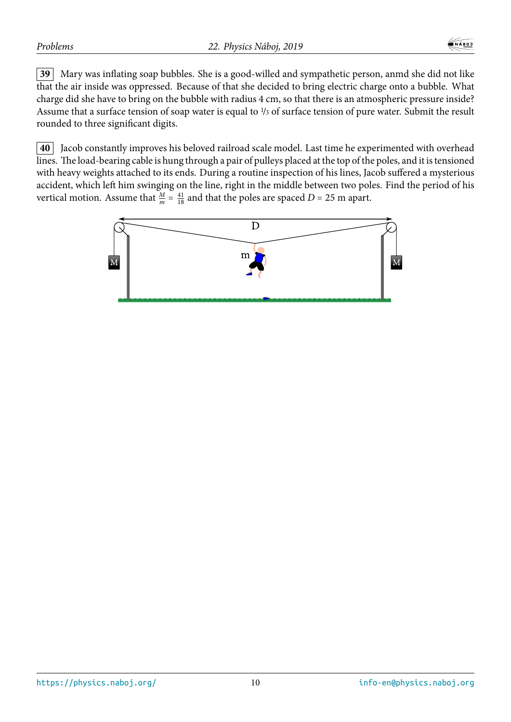**39** Mary was inflating soap bubbles. She is a good-willed and sympathetic person, anmd she did not like that the air inside was oppressed. Because of that she decided to bring electric charge onto a bubble. What charge did she have to bring on the bubble with radius 4 cm, so that there is an atmospheric pressure inside? Assume that a surface tension of soap water is equal to  $\frac{1}{3}$  of surface tension of pure water. Submit the result rounded to three significant digits.

**40** Jacob constantly improves his beloved railroad scale model. Last time he experimented with overhead lines. The load-bearing cable is hung through a pair of pulleys placed at the top of the poles, and it is tensioned with heavy weights attached to its ends. During a routine inspection of his lines, Jacob suffered a mysterious accident, which left him swinging on the line, right in the middle between two poles. Find the period of his vertical motion. Assume that  $\frac{M}{m} = \frac{41}{18}$  and that the poles are spaced *D* = 25 m apart.

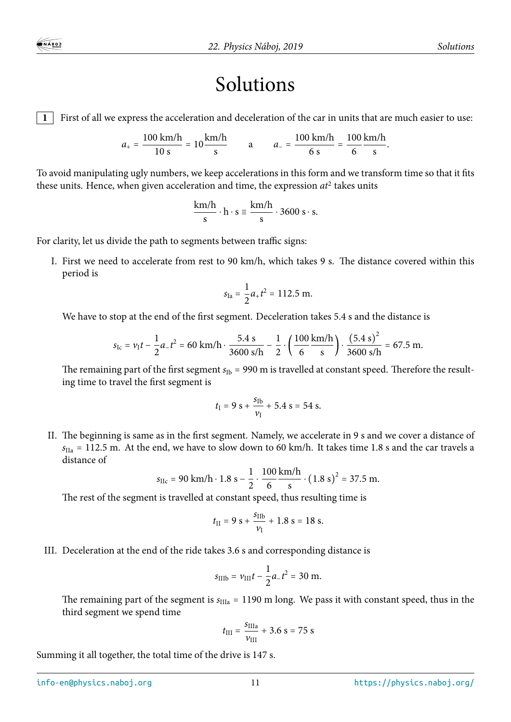## Solutions

**1** First of all we express the acceleration and deceleration of the car in units that are much easier to use:

$$
a_{+} = \frac{100 \text{ km/h}}{10 \text{ s}} = 10 \frac{\text{km/h}}{\text{s}}
$$
 a  $a_{-} = \frac{100 \text{ km/h}}{6 \text{ s}} = \frac{100 \text{ km/h}}{6}.$ 

To avoid manipulating ugly numbers, we keep accelerations in this form and we transform time so that it fits these units. Hence, when given acceleration and time, the expression *at*<sup>2</sup> takes units

$$
\frac{\text{km/h}}{\text{s}} \cdot \text{h} \cdot \text{s} \equiv \frac{\text{km/h}}{\text{s}} \cdot 3600 \text{ s} \cdot \text{s}.
$$

For clarity, let us divide the path to segments between traffic signs:

I. First we need to accelerate from rest to 90 km/h, which takes 9 s. The distance covered within this period is

$$
s_{\text{Ia}} = \frac{1}{2}a_{+}t^{2} = 112.5 \text{ m}.
$$

We have to stop at the end of the first segment. Deceleration takes 5.4 s and the distance is

$$
s_{\text{Ic}} = v_1 t - \frac{1}{2} a_{-} t^2 = 60 \text{ km/h} \cdot \frac{5.4 \text{ s}}{3600 \text{ s/h}} - \frac{1}{2} \cdot \left(\frac{100 \text{ km/h}}{6 \text{ s}}\right) \cdot \frac{(5.4 \text{ s})^2}{3600 \text{ s/h}} = 67.5 \text{ m}.
$$

The remaining part of the first segment  $s_{\text{Ib}}$  = 990 m is travelled at constant speed. Therefore the resulting time to travel the first segment is

$$
t_{\rm I} = 9 \text{ s} + \frac{s_{\rm Ib}}{v_{\rm I}} + 5.4 \text{ s} = 54 \text{ s}.
$$

II. The beginning is same as in the first segment. Namely, we accelerate in 9 s and we cover a distance of  $s_{IIa}$  = 112.5 m. At the end, we have to slow down to 60 km/h. It takes time 1.8 s and the car travels a distance of

$$
s_{\text{IIc}} = 90 \text{ km/h} \cdot 1.8 \text{ s} - \frac{1}{2} \cdot \frac{100}{6} \frac{\text{km/h}}{\text{s}} \cdot (1.8 \text{ s})^2 = 37.5 \text{ m}.
$$

The rest of the segment is travelled at constant speed, thus resulting time is

$$
t_{\rm II} = 9 \text{ s} + \frac{s_{\rm IIB}}{v_{\rm I}} + 1.8 \text{ s} = 18 \text{ s}.
$$

III. Deceleration at the end of the ride takes 3.6 s and corresponding distance is

$$
s_{\rm IIIb} = v_{\rm III}t - \frac{1}{2}a_{-}t^{2} = 30 \text{ m}.
$$

The remaining part of the segment is  $s_{\text{IIIa}} = 1190$  m long. We pass it with constant speed, thus in the third segment we spend time

$$
t_{\rm III} = \frac{s_{\rm IIIa}}{v_{\rm III}} + 3.6 \, \text{s} = 75 \, \text{s}
$$

Summing it all together, the total time of the drive is 147 s.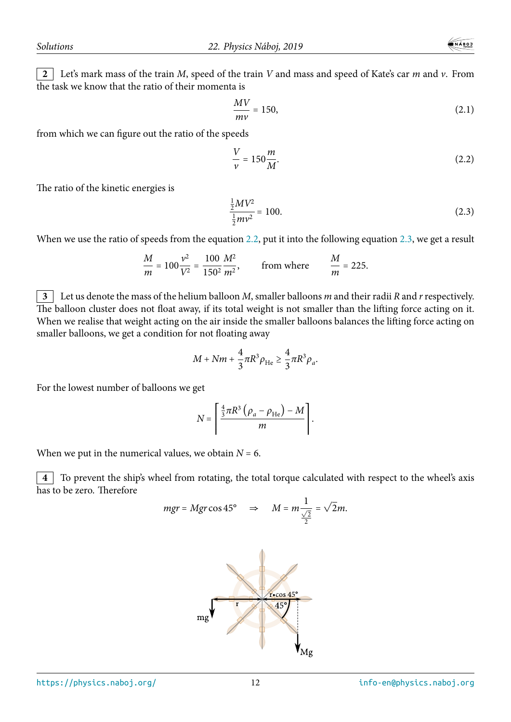$$
\frac{MV}{mv} = 150,\tag{2.1}
$$

from which we can figure out the ratio of the speeds

<span id="page-11-0"></span>
$$
\frac{V}{\nu} = 150 \frac{m}{M}.\tag{2.2}
$$

The ratio of the kinetic energies is

<span id="page-11-1"></span>
$$
\frac{\frac{1}{2}MV^2}{\frac{1}{2}mv^2} = 100.\tag{2.3}
$$

When we use the ratio of speeds from the equation 2.2, put it into the following equation 2.3, we get a result

$$
\frac{M}{m} = 100 \frac{v^2}{V^2} = \frac{100}{150^2} \frac{M^2}{m^2}, \qquad \text{from where} \qquad \frac{M}{m} = 225.
$$

**3** Let us denote the mass of the helium balloon *M*, smaller balloons *m* and their radii *R* and *r*respectively. The balloon cluster does not float away, if its total weight is not smaller than the lifting force acting on it. When we realise that weight acting on the air inside the smaller balloons balances the lifting force acting on smaller balloons, we get a condition for not floating away

$$
M + Nm + \frac{4}{3}\pi R^3 \rho_{\text{He}} \ge \frac{4}{3}\pi R^3 \rho_a.
$$

For the lowest number of balloons we get

$$
N = \left[ \frac{\frac{4}{3}\pi R^3 \left( \rho_a - \rho_{\text{He}} \right) - M}{m} \right].
$$

When we put in the numerical values, we obtain  $N = 6$ .

**4** To prevent the ship's wheel from rotating, the total torque calculated with respect to the wheel's axis has to be zero. Therefore

$$
mgr = Mgr \cos 45^{\circ} \quad \Rightarrow \quad M = m \frac{1}{\frac{\sqrt{2}}{2}} = \sqrt{2}m.
$$

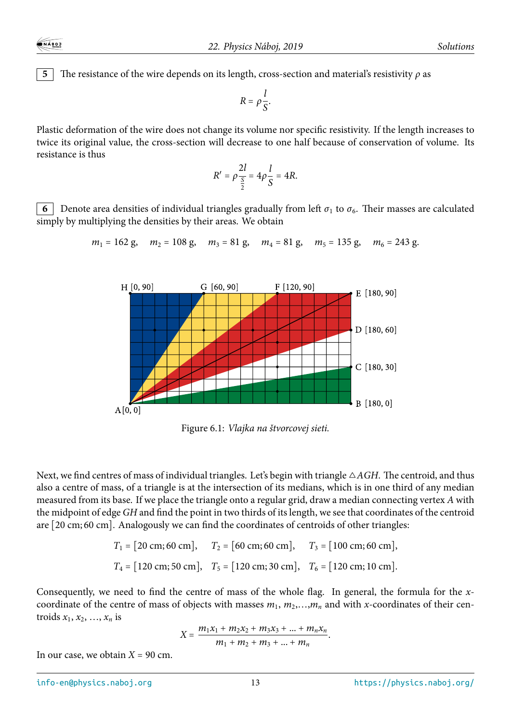**5** The resistance of the wire depends on its length, cross-section and material's resistivity  $\rho$  as

$$
R=\rho\frac{l}{S}.
$$

Plastic deformation of the wire does not change its volume nor specific resistivity. If the length increases to twice its original value, the cross-section will decrease to one half because of conservation of volume. Its resistance is thus

$$
R' = \rho \frac{2l}{\frac{S}{2}} = 4\rho \frac{l}{S} = 4R.
$$

**6** Denote area densities of individual triangles gradually from left  $\sigma_1$  to  $\sigma_6$ . Their masses are calculated simply by multiplying the densities by their areas. We obtain

 $m_1 = 162$  g,  $m_2 = 108$  g,  $m_3 = 81$  g,  $m_4 = 81$  g,  $m_5 = 135$  g,  $m_6 = 243$  g.



Figure 6.1: *Vlajka na štvorcovej sieti.*

Next, we find centres of mass of individual triangles. Let's begin with triangle △*AGH*. The centroid, and thus also a centre of mass, of a triangle is at the intersection of its medians, which is in one third of any median measured from its base. If we place the triangle onto a regular grid, draw a median connecting vertex *A* with the midpoint of edge *GH* and find the point in two thirds of its length, we see that coordinates of the centroid are [20 cm; 60 cm]. Analogously we can find the coordinates of centroids of other triangles:

$$
T_1 = [20 \text{ cm}; 60 \text{ cm}],
$$
  $T_2 = [60 \text{ cm}; 60 \text{ cm}],$   $T_3 = [100 \text{ cm}; 60 \text{ cm}],$   
 $T_4 = [120 \text{ cm}; 50 \text{ cm}],$   $T_5 = [120 \text{ cm}; 30 \text{ cm}],$   $T_6 = [120 \text{ cm}; 10 \text{ cm}].$ 

Consequently, we need to find the centre of mass of the whole flag. In general, the formula for the *x*coordinate of the centre of mass of objects with masses  $m_1, m_2,...,m_n$  and with *x*-coordinates of their centroids  $x_1, x_2, \ldots, x_n$  is

$$
X = \frac{m_1x_1 + m_2x_2 + m_3x_3 + \dots + m_nx_n}{m_1 + m_2 + m_3 + \dots + m_n}.
$$

In our case, we obtain  $X = 90$  cm.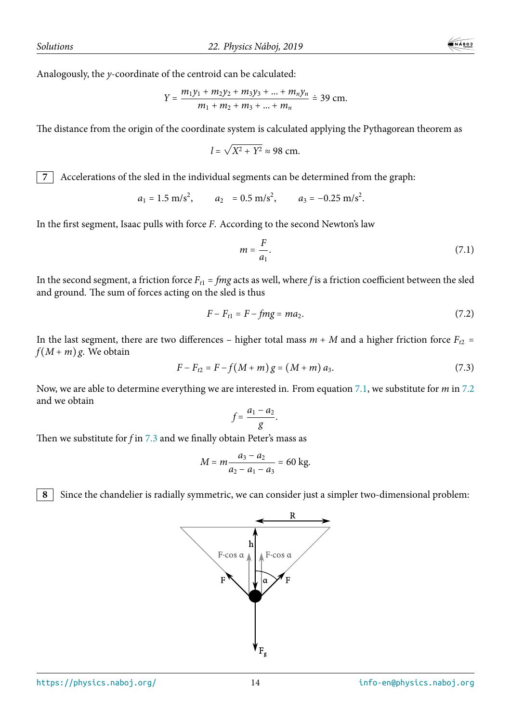Analogously, the *y*-coordinate of the centroid can be calculated:

$$
Y = \frac{m_1y_1 + m_2y_2 + m_3y_3 + \dots + m_ny_n}{m_1 + m_2 + m_3 + \dots + m_n} \doteq 39 \text{ cm}.
$$

The distance from the origin of the coordinate system is calculated applying the Pythagorean theorem as

$$
l = \sqrt{X^2 + Y^2} \approx 98
$$
 cm.

**7** Accelerations of the sled in the individual segments can be determined from the graph:

$$
a_1 = 1.5 \text{ m/s}^2
$$
,  $a_2 = 0.5 \text{ m/s}^2$ ,  $a_3 = -0.25 \text{ m/s}^2$ .

In the first segment, Isaac pulls with force *F*. According to the second Newton's law

$$
m = \frac{F}{a_1}.\tag{7.1}
$$

In the second segment, a friction force  $F_{t1} = fmg$  acts as well, where *f* is a friction coefficient between the sled and ground. The sum of forces acting on the sled is thus

$$
F - F_{t1} = F - fmg = ma_2. \tag{7.2}
$$

In the last segment, there are two differences – higher total mass  $m + M$  and a higher friction force  $F_{t2}$  =  $f(M+m)$ g. We obtain

$$
F - F_{t2} = F - f(M + m) g = (M + m) a_3.
$$
 (7.3)

Now, we are able to determine everything we are interested in. From equation 7.1, we substitute for *m* in 7.2 and we obtain

$$
f=\frac{a_1-a_2}{g}.
$$

Then we substitute for *f* in 7.3 and we finally obtain Peter's mass as

$$
M = m \frac{a_3 - a_2}{a_2 - a_1 - a_3} = 60 \text{ kg}.
$$

**8** Since the chandelier is radially symmetric, we can consider just a simpler two-dimensional problem:

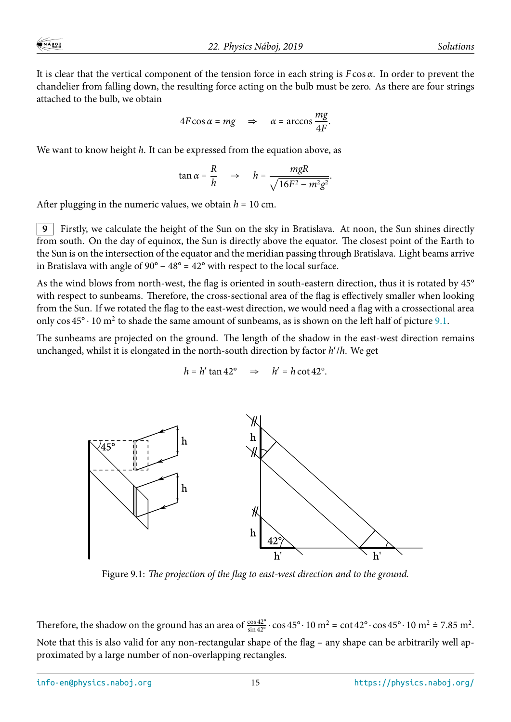It is clear that the vertical component of the tension force in each string is *F* cos *α*. In order to prevent the chandelier from falling down, the resulting force acting on the bulb must be zero. As there are four strings attached to the bulb, we obtain

$$
4F\cos\alpha = mg \quad \Rightarrow \quad \alpha = \arccos\frac{mg}{4F}.
$$

We want to know height *h*. It can be expressed from the equation above, as

$$
\tan \alpha = \frac{R}{h} \quad \Rightarrow \quad h = \frac{mgR}{\sqrt{16F^2 - m^2g^2}}.
$$

After plugging in the numeric values, we obtain  $h = 10$  cm.

**9** Firstly, we calculate the height of the Sun on the sky in Bratislava. At noon, the Sun shines directly from south. On the day of equinox, the Sun is directly above the equator. The closest point of the Earth to the Sun is on the intersection of the equator and the meridian passing through Bratislava. Light beams arrive in Bratislava with angle of  $90^{\circ} - 48^{\circ} = 42^{\circ}$  with respect to the local surface.

As the wind blows from north-west, the flag is oriented in south-eastern direction, thus it is rotated by 45° with respect to sunbeams. Therefore, the cross-sectional area of the flag is effectively smaller when looking from the Sun. If we rotated the flag to the east-west direction, we would need a flag with a crossectional area only  $\cos 45^\circ \cdot 10$  m<sup>2</sup> to shade the same amount of sunbeams, as is shown on the left half of picture 9.1.

The sunbeams are projected on the ground. The length of the shadow in the east-west direction remains unchanged, whilst it is elongated in the north-south direction by factor *h* ′ /*h*. We get

$$
h = h' \tan 42^{\circ} \implies h' = h \cot 42^{\circ}.
$$



Figure 9.1: *The projection of the flag to east-west direction and to the ground.*

Therefore, the shadow on the ground has an area of  $\frac{\cos 42^{\circ}}{\sin 42^{\circ}} \cdot \cos 45^{\circ} \cdot 10 \text{ m}^2 = \cot 42^{\circ} \cdot \cos 45^{\circ} \cdot 10 \text{ m}^2 = 7.85 \text{ m}^2$ . Note that this is also valid for any non-rectangular shape of the flag – any shape can be arbitrarily well approximated by a large number of non-overlapping rectangles.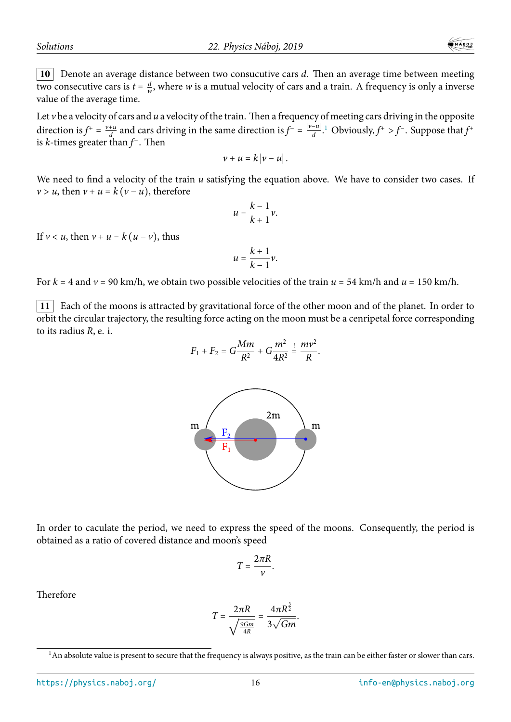**10** Denote an average distance between two consucutive cars *d*. Then an average time between meeting two consecutive cars is  $t = \frac{d}{w}$  $\frac{a}{w}$ , where *w* is a mutual velocity of cars and a train. A frequency is only a inverse value of the average time.

Let *v* be a velocity of cars and *u* a velocity of the train. Then a frequency of meeting cars driving in the opposite direction is  $f^+ = \frac{v + u}{d}$  and cars driving in the same direction is  $f^- = \frac{|v - u|}{d}$ .<sup>1</sup> Obviously,  $f^+ > f^-$ . Suppose that  $f^+$ is *k*-times greater than *f* <sup>−</sup>. Then

$$
v+u=k|v-u|.
$$

We need to find a velocity of the train *u* satisfying the equation above. We have to consider two cases. If  $v > u$ , then  $v + u = k(v - u)$ , therefore

$$
u=\frac{k-1}{k+1}\nu.
$$

If  $v < u$ , then  $v + u = k(u - v)$ , thus

$$
u=\frac{k+1}{k-1}\nu.
$$

For  $k = 4$  and  $\nu = 90$  km/h, we obtain two possible velocities of the train  $u = 54$  km/h and  $u = 150$  km/h.

**11** Each of the moons is attracted by gravitational force of the other moon and of the planet. In order to orbit the circular trajectory, the resulting force acting on the moon must be a cenripetal force corresponding to its radius *R*, e. i.

$$
F_1 + F_2 = G\frac{Mm}{R^2} + G\frac{m^2}{4R^2} \stackrel{!}{=} \frac{mv^2}{R}.
$$



In order to caculate the period, we need to express the speed of the moons. Consequently, the period is obtained as a ratio of covered distance and moon's speed

$$
T=\frac{2\pi R}{\nu}.
$$

Therefore

$$
T=\frac{2\pi R}{\sqrt{\frac{9Gm}{4R}}}=\frac{4\pi R^{\frac{3}{2}}}{3\sqrt{Gm}}.
$$

 $1$ An absolute value is present to secure that the frequency is always positive, as the train can be either faster or slower than cars.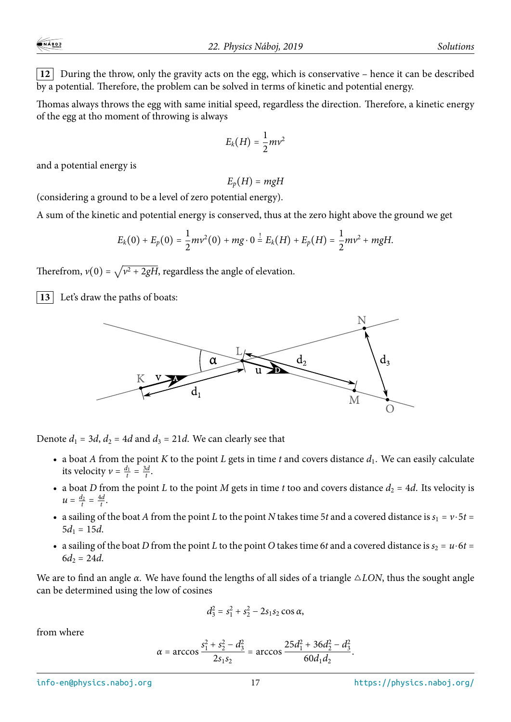**12** During the throw, only the gravity acts on the egg, which is conservative – hence it can be described by a potential. Therefore, the problem can be solved in terms of kinetic and potential energy.

Thomas always throws the egg with same initial speed, regardless the direction. Therefore, a kinetic energy of the egg at tho moment of throwing is always

$$
E_k(H)=\frac{1}{2}mv^2
$$

and a potential energy is

 $E_p(H) = mgH$ 

(considering a ground to be a level of zero potential energy).

A sum of the kinetic and potential energy is conserved, thus at the zero hight above the ground we get

$$
E_k(0) + E_p(0) = \frac{1}{2}mv^2(0) + mg \cdot 0 = E_k(H) + E_p(H) = \frac{1}{2}mv^2 + mgH.
$$

Therefrom,  $v(0) = \sqrt{v^2 + 2gH}$ , regardless the angle of elevation.

**13** Let's draw the paths of boats:



Denote  $d_1 = 3d$ ,  $d_2 = 4d$  and  $d_3 = 21d$ . We can clearly see that

- a boat *A* from the point *K* to the point *L* gets in time *t* and covers distance  $d_1$ . We can easily calculate its velocity  $v = \frac{d_1}{t}$  $\frac{d_1}{t} = \frac{3d}{t}$  $\frac{d}{t}$ .
- a boat *D* from the point *L* to the point *M* gets in time *t* too and covers distance  $d_2 = 4d$ . Its velocity is  $u = \frac{d_2}{t}$  $\frac{d_2}{t} = \frac{4d}{t}$ *t* .
- a sailing of the boat *A* from the point *L* to the point *N* takes time 5*t* and a covered distance is  $s_1 = v \cdot 5t =$  $5d_1 = 15d$ .
- a sailing of the boat *D* from the point *L* to the point *O* takes time 6*t* and a covered distance is  $s_2 = u \cdot 6t =$  $6d_2 = 24d$ .

We are to find an angle *α*. We have found the lengths of all sides of a triangle △*LON*, thus the sought angle can be determined using the low of cosines

$$
d_3^2 = s_1^2 + s_2^2 - 2s_1s_2 \cos \alpha,
$$

from where

$$
\alpha = \arccos \frac{s_1^2 + s_2^2 - d_3^2}{2s_1s_2} = \arccos \frac{25d_1^2 + 36d_2^2 - d_3^2}{60d_1d_2}.
$$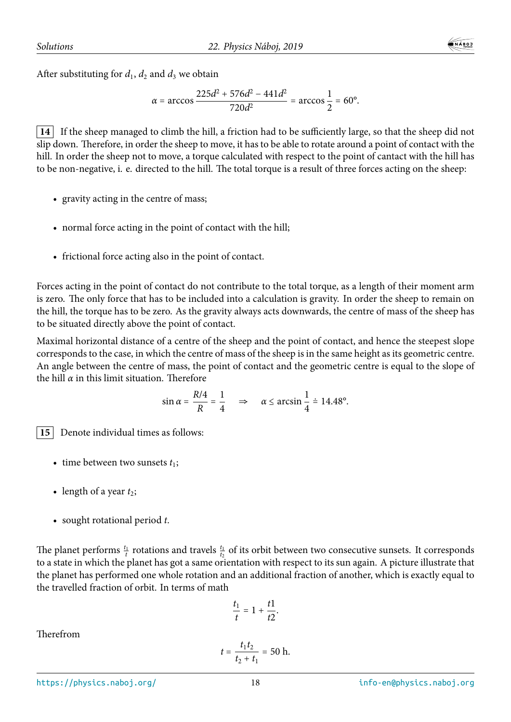$$
\alpha = \arccos \frac{225d^2 + 576d^2 - 441d^2}{720d^2} = \arccos \frac{1}{2} = 60^\circ.
$$

**14** If the sheep managed to climb the hill, a friction had to be sufficiently large, so that the sheep did not slip down. Therefore, in order the sheep to move, it has to be able to rotate around a point of contact with the hill. In order the sheep not to move, a torque calculated with respect to the point of cantact with the hill has to be non-negative, i. e. directed to the hill. The total torque is a result of three forces acting on the sheep:

- gravity acting in the centre of mass;
- normal force acting in the point of contact with the hill;
- frictional force acting also in the point of contact.

Forces acting in the point of contact do not contribute to the total torque, as a length of their moment arm is zero. The only force that has to be included into a calculation is gravity. In order the sheep to remain on the hill, the torque has to be zero. As the gravity always acts downwards, the centre of mass of the sheep has to be situated directly above the point of contact.

Maximal horizontal distance of a centre of the sheep and the point of contact, and hence the steepest slope corresponds to the case, in which the centre of mass of the sheep is in the same height as its geometric centre. An angle between the centre of mass, the point of contact and the geometric centre is equal to the slope of the hill *α* in this limit situation. Therefore

$$
\sin \alpha = \frac{R/4}{R} = \frac{1}{4} \quad \Rightarrow \quad \alpha \le \arcsin \frac{1}{4} \doteq 14.48^{\circ}.
$$

**15** Denote individual times as follows:

- time between two sunsets  $t_1$ ;
- length of a year  $t_2$ ;
- sought rotational period *t*.

The planet performs  $\frac{t_1}{t}$  rotations and travels  $\frac{t_1}{t_2}$  of its orbit between two consecutive sunsets. It corresponds to a state in which the planet has got a same orientation with respect to its sun again. A picture illustrate that the planet has performed one whole rotation and an additional fraction of another, which is exactly equal to the travelled fraction of orbit. In terms of math

$$
\frac{t_1}{t}=1+\frac{t1}{t2}.
$$

Therefrom

$$
t = \frac{t_1 t_2}{t_2 + t_1} = 50 \text{ h}.
$$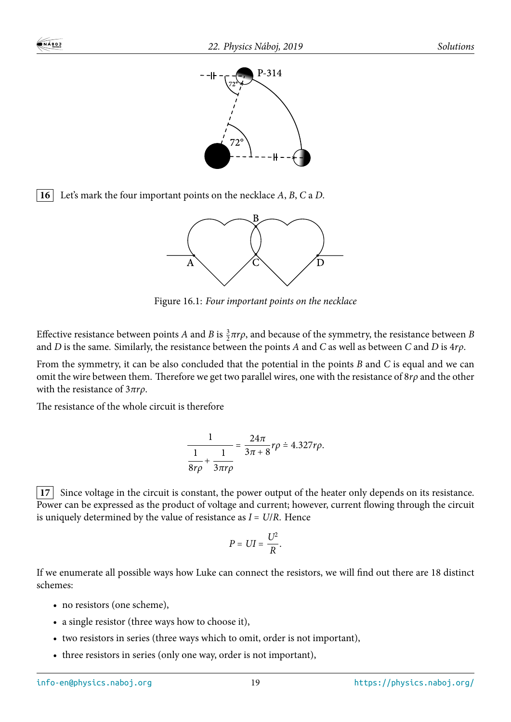



**16** Let's mark the four important points on the necklace *A*, *B*, *C* a *D*.



Figure 16.1: *Four important points on the necklace*

Effective resistance between points *A* and *B* is  $\frac{3}{2}\pi r\rho$ , and because of the symmetry, the resistance between *B* and *D* is the same. Similarly, the resistance between the points *A* and *C* as well as between *C* and *D* is 4*rρ*.

From the symmetry, it can be also concluded that the potential in the points *B* and *C* is equal and we can omit the wire between them. Therefore we get two parallel wires, one with the resistance of 8*rρ* and the other with the resistance of 3*πrρ*.

The resistance of the whole circuit is therefore

$$
\frac{1}{\frac{1}{8r\rho}+\frac{1}{3\pi r\rho}}=\frac{24\pi}{3\pi+8}r\rho\stackrel{.}{=}\frac{4.327r\rho}{.}
$$

**17** Since voltage in the circuit is constant, the power output of the heater only depends on its resistance. Power can be expressed as the product of voltage and current; however, current flowing through the circuit is uniquely determined by the value of resistance as *I* = *U*/*R*. Hence

$$
P = UI = \frac{U^2}{R}.
$$

If we enumerate all possible ways how Luke can connect the resistors, we will find out there are 18 distinct schemes:

- no resistors (one scheme),
- a single resistor (three ways how to choose it),
- two resistors in series (three ways which to omit, order is not important),
- three resistors in series (only one way, order is not important),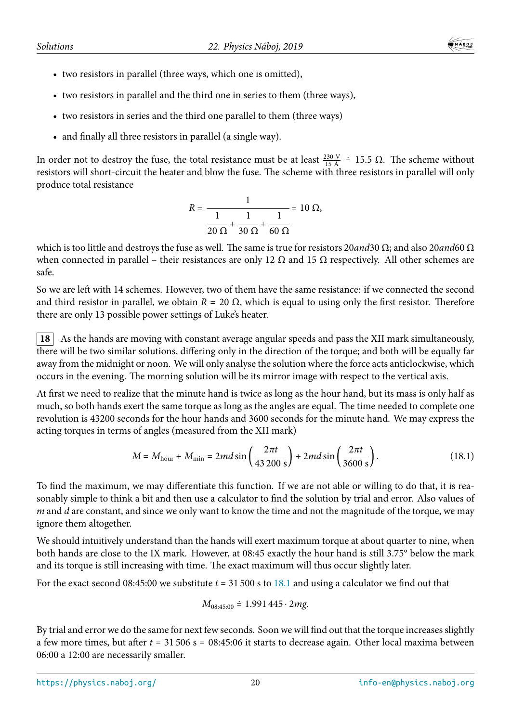- two resistors in parallel (three ways, which one is omitted),
- two resistors in parallel and the third one in series to them (three ways),
- two resistors in series and the third one parallel to them (three ways)
- and finally all three resistors in parallel (a single way).

In order not to destroy the fuse, the total resistance must be at least  $\frac{230 \text{ V}}{15 \text{ A}}$  = 15.5 Ω. The scheme without resistors will short-circuit the heater and blow the fuse. The scheme with three resistors in parallel will only produce total resistance

$$
R = \frac{1}{\frac{1}{20 \Omega} + \frac{1}{30 \Omega} + \frac{1}{60 \Omega}} = 10 \Omega,
$$

which is too little and destroys the fuse as well. The same is true for resistors 20*and*30 Ω; and also 20*and*60 Ω when connected in parallel – their resistances are only 12  $\Omega$  and 15  $\Omega$  respectively. All other schemes are safe.

So we are left with 14 schemes. However, two of them have the same resistance: if we connected the second and third resistor in parallel, we obtain  $R = 20 \Omega$ , which is equal to using only the first resistor. Therefore there are only 13 possible power settings of Luke's heater.

**18** As the hands are moving with constant average angular speeds and pass the XII mark simultaneously, there will be two similar solutions, differing only in the direction of the torque; and both will be equally far away from the midnight or noon. We will only analyse the solution where the force acts anticlockwise, which occurs in the evening. The morning solution will be its mirror image with respect to the vertical axis.

At first we need to realize that the minute hand is twice as long as the hour hand, but its mass is only half as much, so both hands exert the same torque as long as the angles are equal. The time needed to complete one revolution is 43200 seconds for the hour hands and 3600 seconds for the minute hand. We may express the acting torques in terms of angles (measured from the XII mark)

$$
M = M_{\text{hour}} + M_{\text{min}} = 2md\sin\left(\frac{2\pi t}{43\,200\,\text{s}}\right) + 2md\sin\left(\frac{2\pi t}{3600\,\text{s}}\right). \tag{18.1}
$$

To find the maximum, we may differentiate this function. If we are not able or willing to do that, it is reasonably simple to think a bit and then use a calculator to find the solution by trial and error. Also values of *m* and *d* are constant, and since we only want to know the time and not the magnitude of the torque, we may ignore them altogether.

We should intuitively understand than the hands will exert maximum torque at about quarter to nine, when both hands are close to the IX mark. However, at 08:45 exactly the hour hand is still 3.75° below the mark and its torque is still increasing with time. The exact maximum will thus occur slightly later.

For the exact second 08:45:00 we substitute *t* = 31 500 s to 18.1 and using a calculator we find out that

$$
M_{08:45:00} \doteq 1.991\,445\cdot 2mg.
$$

By trial and error we do the same for next few seconds. Soo[n we](#page-11-0) will find out that the torque increases slightly a few more times, but after *t* = 31 506 s = 08:45:06 it starts to decrease again. Other local maxima between 06:00 a 12:00 are necessarily smaller.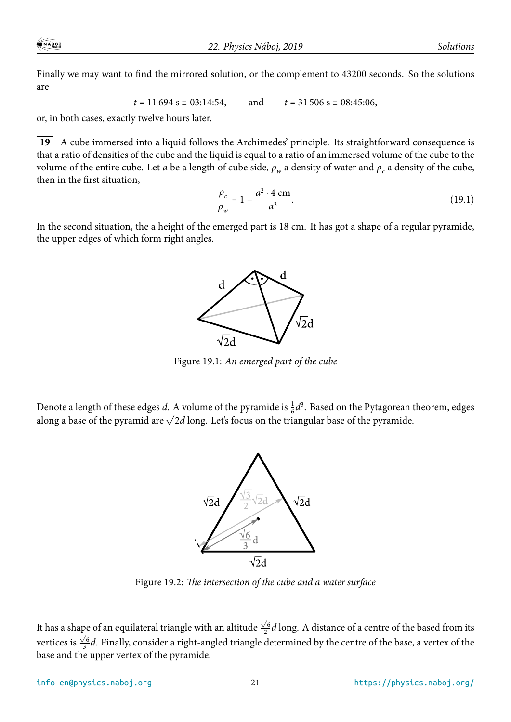Finally we may want to find the mirrored solution, or the complement to 43200 seconds. So the solutions are

$$
t = 11694 \text{ s} \equiv 03:14:54,
$$
 and  $t = 31506 \text{ s} \equiv 08:45:06,$ 

or, in both cases, exactly twelve hours later.

**19** A cube immersed into a liquid follows the Archimedes' principle. Its straightforward consequence is that a ratio of densities of the cube and the liquid is equal to a ratio of an immersed volume of the cube to the volume of the entire cube. Let *a* be a length of cube side, *ρ<sup>w</sup>* a density of water and *ρ<sup>c</sup>* a density of the cube, then in the first situation,

$$
\frac{\rho_c}{\rho_w} = 1 - \frac{a^2 \cdot 4 \text{ cm}}{a^3}.
$$
\n(19.1)

In the second situation, the a height of the emerged part is 18 cm. It has got a shape of a regular pyramide, the upper edges of which form right angles.



Figure 19.1: *An emerged part of the cube*

Denote a length of these edges *d*. A volume of the pyramide is  $\frac{1}{6}d^3$ . Based on the Pytagorean theorem, edges along a base of the pyramid are  $\sqrt{2}d$  long. Let's focus on the triangular base of the pyramide.



Figure 19.2: *The intersection of the cube and a water surface*

It has a shape of an equilateral triangle with an altitude  $\frac{\sqrt{6}}{2}$  $\frac{\sqrt{6}}{2}$ *d* long. A distance of a centre of the based from its vertices is  $\frac{\sqrt{6}}{3}$  $\frac{\sqrt{6}}{3}$ d. Finally, consider a right-angled triangle determined by the centre of the base, a vertex of the base and the upper vertex of the pyramide.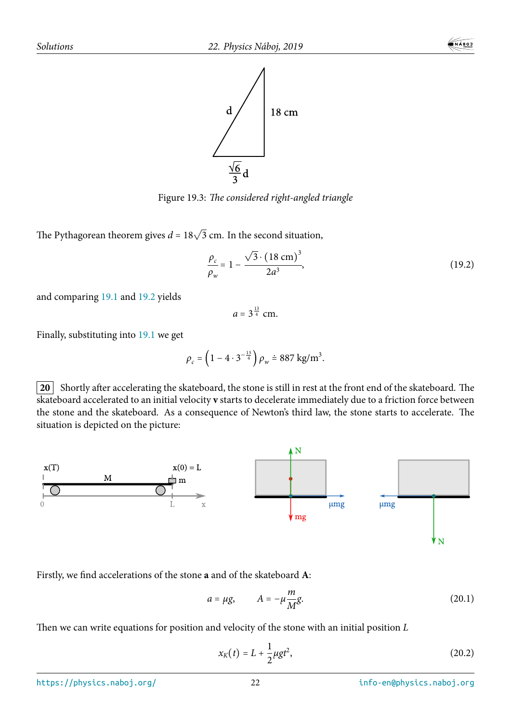

Figure 19.3: *The considered right-angled triangle*

The Pythagorean theorem gives  $d = 18\sqrt{3}$  cm. In the second situation,

$$
\frac{\rho_c}{\rho_w} = 1 - \frac{\sqrt{3} \cdot (18 \text{ cm})^3}{2a^3},\tag{19.2}
$$

and comparing 19.1 and 19.2 yields

$$
a=3^{\frac{13}{4}}\ \mathrm{cm}.
$$

Finally, substitu[ting](#page-11-0) into [19.1](#page-11-1) we get

$$
\rho_c = \left(1 - 4 \cdot 3^{-\frac{13}{4}}\right) \rho_w \doteq 887 \text{ kg/m}^3.
$$

**20** Shortly after accelerating the skateboard, the stone is still in rest at the front end of the skateboard. The skateboard accelerated to an initial velocity **v** starts to decelerate immediately due to a friction force between the stone and the skateboard. As a consequence of Newton's third law, the stone starts to accelerate. The situation is depicted on the picture:



Firstly, we find accelerations of the stone **a** and of the skateboard **A**:

$$
a = \mu g, \qquad A = -\mu \frac{m}{M} g. \tag{20.1}
$$

Then we can write equations for position and velocity of the stone with an initial position *L*

$$
x_K(t) = L + \frac{1}{2}\mu gt^2,
$$
 (20.2)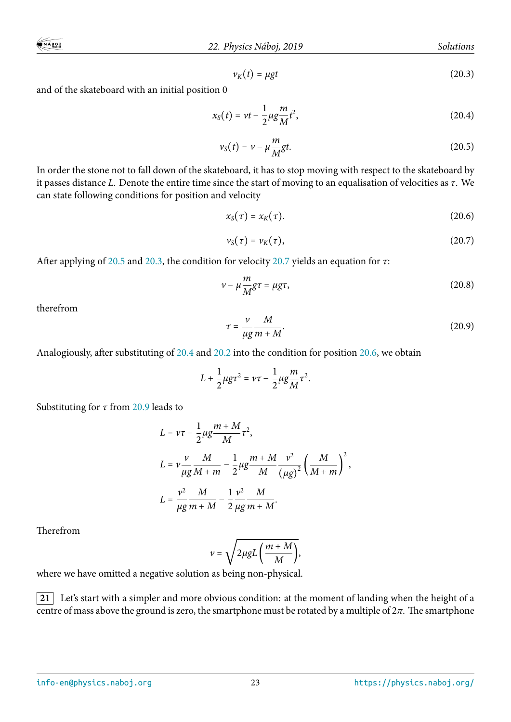$$
\nu_K(t) = \mu gt \tag{20.3}
$$

and of the skateboard with an initial position 0

$$
x_{S}(t) = vt - \frac{1}{2}\mu g \frac{m}{M}t^{2},
$$
\t(20.4)

$$
\nu_{S}(t) = \nu - \mu \frac{m}{M}gt.
$$
\n(20.5)

In order the stone not to fall down of the skateboard, it has to stop moving with respect to the skateboard by it passes distance *L*. Denote the entire time since the start of moving to an equalisation of velocities as *τ*. We can state following conditions for position and velocity

$$
x_{\rm S}(\tau) = x_{\rm K}(\tau). \tag{20.6}
$$

$$
\nu_{S}(\tau)=\nu_{K}(\tau), \qquad (20.7)
$$

After applying of 20.5 and 20.3, the condition for velocity 20.7 yields an equation for *τ*:

$$
v - \mu \frac{m}{M} g \tau = \mu g \tau, \qquad (20.8)
$$

therefrom

$$
\tau = \frac{v}{\mu g} \frac{M}{m + M}.
$$
\n(20.9)

Analogiously, after substituting of 20.4 and 20.2 into the condition for position 20.6, we obtain

$$
L+\frac{1}{2}\mu g\tau^2=\nu\tau-\frac{1}{2}\mu g\frac{m}{M}\tau^2.
$$

Substituting for *τ* from 20.9 leads to

$$
L = v\tau - \frac{1}{2}\mu g \frac{m+M}{M}\tau^{2},
$$
  
\n
$$
L = v \frac{v}{\mu g} \frac{M}{M+m} - \frac{1}{2}\mu g \frac{m+M}{M} \frac{v^{2}}{(\mu g)^{2}} \left(\frac{M}{M+m}\right)^{2},
$$
  
\n
$$
L = \frac{v^{2}}{\mu g} \frac{M}{m+M} - \frac{1}{2} \frac{v^{2}}{\mu g} \frac{M}{m+M}.
$$

Therefrom

$$
v = \sqrt{2 \mu g L \left(\frac{m+M}{M}\right)},
$$

where we have omitted a negative solution as being non-physical.

**21** Let's start with a simpler and more obvious condition: at the moment of landing when the height of a centre of mass above the ground is zero, the smartphone must be rotated by a multiple of 2*π*. The smartphone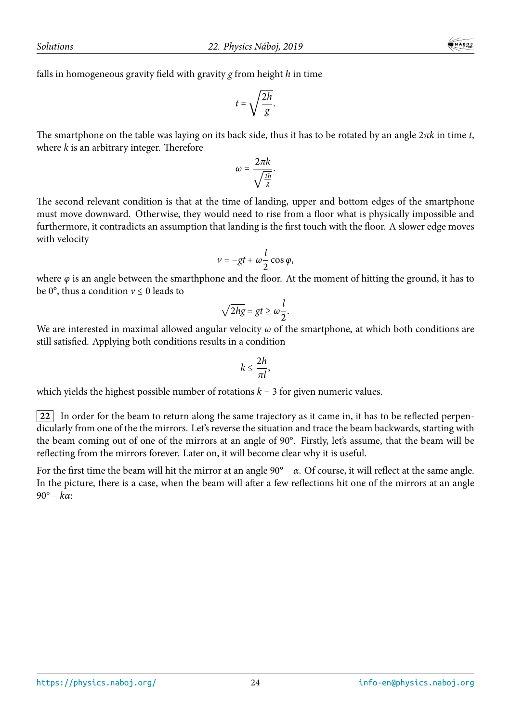falls in homogeneous gravity field with gravity *g* from height *h* in time

$$
t=\sqrt{\frac{2h}{g}}.
$$

The smartphone on the table was laying on its back side, thus it has to be rotated by an angle 2*πk* in time *t*, where *k* is an arbitrary integer. Therefore

$$
\omega=\frac{2\pi k}{\sqrt{\frac{2h}{g}}}.
$$

The second relevant condition is that at the time of landing, upper and bottom edges of the smartphone must move downward. Otherwise, they would need to rise from a floor what is physically impossible and furthermore, it contradicts an assumption that landing is the first touch with the floor. A slower edge moves with velocity

$$
v=-gt+\omega\frac{l}{2}\cos\varphi,
$$

where  $\varphi$  is an angle between the smarthphone and the floor. At the moment of hitting the ground, it has to be 0°, thus a condition  $v \le 0$  leads to

$$
\sqrt{2hg} = gt \ge \omega \frac{l}{2}.
$$

We are interested in maximal allowed angular velocity *ω* of the smartphone, at which both conditions are still satisfied. Applying both conditions results in a condition

$$
k\leq \frac{2h}{\pi l},
$$

which yields the highest possible number of rotations  $k = 3$  for given numeric values.

**22** In order for the beam to return along the same trajectory as it came in, it has to be reflected perpendicularly from one of the the mirrors. Let's reverse the situation and trace the beam backwards, starting with the beam coming out of one of the mirrors at an angle of 90°. Firstly, let's assume, that the beam will be reflecting from the mirrors forever. Later on, it will become clear why it is useful.

For the first time the beam will hit the mirror at an angle  $90^{\circ} - \alpha$ . Of course, it will reflect at the same angle. In the picture, there is a case, when the beam will after a few reflections hit one of the mirrors at an angle 90° − *kα*: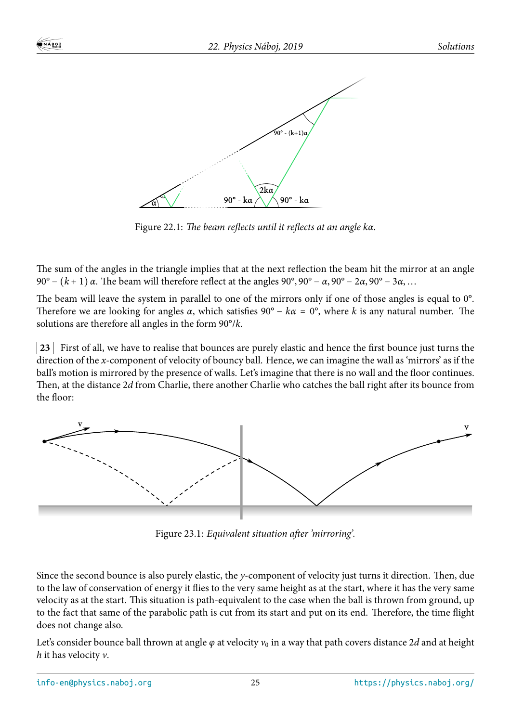

Figure 22.1: *The beam reflects until it reflects at an angle kα.*

The sum of the angles in the triangle implies that at the next reflection the beam hit the mirror at an angle 90° <sup>−</sup> (*<sup>k</sup>* <sup>+</sup> <sup>1</sup>) *<sup>α</sup>*. The beam will therefore reflect at the angles 90°, 90° <sup>−</sup> *<sup>α</sup>*, 90° <sup>−</sup> <sup>2</sup>*α*, 90° <sup>−</sup> <sup>3</sup>*α*,…

The beam will leave the system in parallel to one of the mirrors only if one of those angles is equal to 0°. Therefore we are looking for angles *α*, which satisfies  $90^\circ - k\alpha = 0^\circ$ , where *k* is any natural number. The solutions are therefore all angles in the form 90°/*k*.

**23** First of all, we have to realise that bounces are purely elastic and hence the first bounce just turns the direction of the *x*-component of velocity of bouncy ball. Hence, we can imagine the wall as 'mirrors' as if the ball's motion is mirrored by the presence of walls. Let's imagine that there is no wall and the floor continues. Then, at the distance 2*d* from Charlie, there another Charlie who catches the ball right after its bounce from the floor:



Figure 23.1: *Equivalent situation after 'mirroring'.*

Since the second bounce is also purely elastic, the *y*-component of velocity just turns it direction. Then, due to the law of conservation of energy it flies to the very same height as at the start, where it has the very same velocity as at the start. This situation is path-equivalent to the case when the ball is thrown from ground, up to the fact that same of the parabolic path is cut from its start and put on its end. Therefore, the time flight does not change also.

Let's consider bounce ball thrown at angle  $\varphi$  at velocity  $v_0$  in a way that path covers distance 2d and at height *h* it has velocity *v*.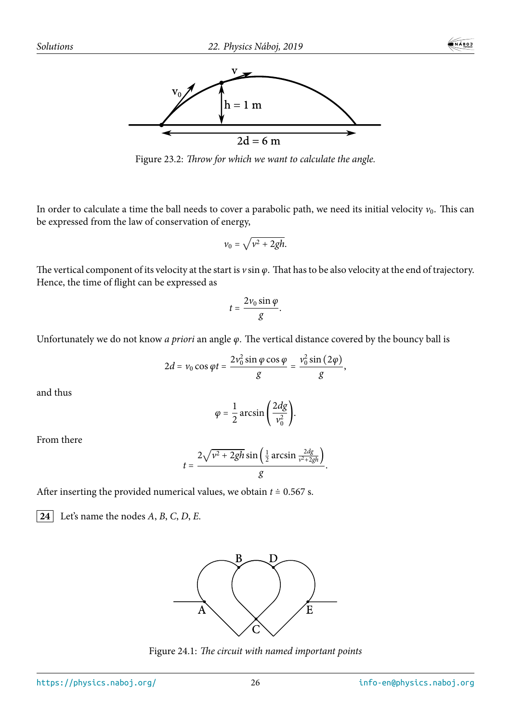



Figure 23.2: *Throw for which we want to calculate the angle.*

In order to calculate a time the ball needs to cover a parabolic path, we need its initial velocity  $v_0$ . This can be expressed from the law of conservation of energy,

$$
v_0 = \sqrt{v^2 + 2gh}.
$$

The vertical component of its velocity at the start is *v* sin *φ*. That has to be also velocity at the end of trajectory. Hence, the time of flight can be expressed as

$$
t=\frac{2v_0\sin\varphi}{g}.
$$

Unfortunately we do not know *a priori* an angle *φ*. The vertical distance covered by the bouncy ball is

$$
2d = v_0 \cos \varphi t = \frac{2v_0^2 \sin \varphi \cos \varphi}{g} = \frac{v_0^2 \sin (2\varphi)}{g},
$$

and thus

$$
\varphi = \frac{1}{2}\arcsin\left(\frac{2dg}{v_0^2}\right).
$$

From there

$$
t=\frac{2\sqrt{v^2+2gh}\sin\left(\frac{1}{2}\arcsin\frac{2dg}{v^2+2gh}\right)}{g}.
$$

After inserting the provided numerical values, we obtain  $t = 0.567$  s.

**24** Let's name the nodes  $A$ ,  $B$ ,  $C$ ,  $D$ ,  $E$ .



Figure 24.1: *The circuit with named important points*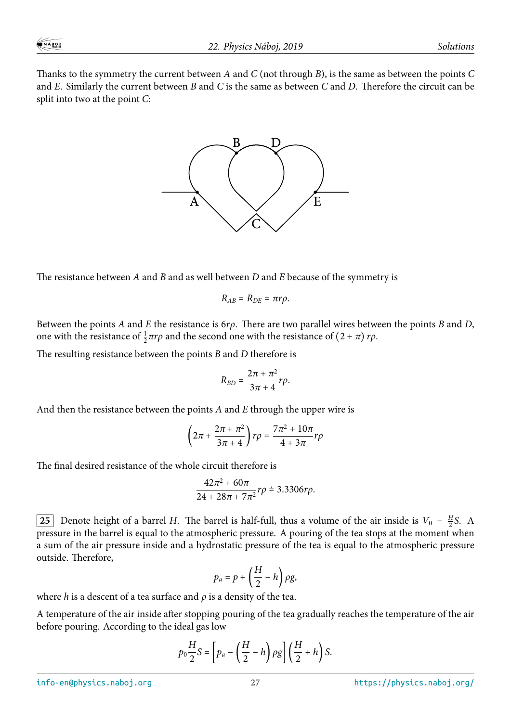Thanks to the symmetry the current between *A* and *C* (not through *B*), is the same as between the points *C* and *E*. Similarly the current between *B* and *C* is the same as between *C* and *D*. Therefore the circuit can be split into two at the point *C*:



The resistance between *A* and *B* and as well between *D* and *E* because of the symmetry is

$$
R_{AB}=R_{DE}=\pi r \rho.
$$

Between the points *A* and *E* the resistance is 6*rρ*. There are two parallel wires between the points *B* and *D*, one with the resistance of  $\frac{1}{2}\pi r\rho$  and the second one with the resistance of  $(2 + \pi) r\rho$ .

The resulting resistance between the points *B* and *D* therefore is

$$
R_{BD}=\frac{2\pi+\pi^2}{3\pi+4}r\rho.
$$

And then the resistance between the points *A* and *E* through the upper wire is

$$
\left(2\pi + \frac{2\pi + \pi^2}{3\pi + 4}\right) r\rho = \frac{7\pi^2 + 10\pi}{4 + 3\pi} r\rho
$$

The final desired resistance of the whole circuit therefore is

$$
\frac{42\pi^2 + 60\pi}{24 + 28\pi + 7\pi^2}r\rho \doteq 3.3306r\rho.
$$

**25** Denote height of a barrel *H*. The barrel is half-full, thus a volume of the air inside is  $V_0 = \frac{H}{2}$  $\frac{H}{2}S$ . A pressure in the barrel is equal to the atmospheric pressure. A pouring of the tea stops at the moment when a sum of the air pressure inside and a hydrostatic pressure of the tea is equal to the atmospheric pressure outside. Therefore,

$$
p_a = p + \left(\frac{H}{2} - h\right)\rho g,
$$

where *h* is a descent of a tea surface and  $\rho$  is a density of the tea.

A temperature of the air inside after stopping pouring of the tea gradually reaches the temperature of the air before pouring. According to the ideal gas low

$$
p_0 \frac{H}{2} S = \left[ p_a - \left( \frac{H}{2} - h \right) \rho g \right] \left( \frac{H}{2} + h \right) S.
$$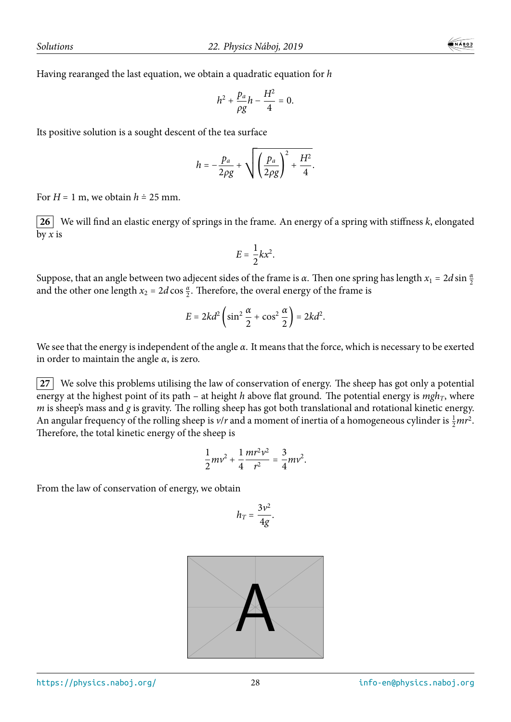Having rearanged the last equation, we obtain a quadratic equation for *h*

$$
h^2+\frac{p_a}{\rho g}h-\frac{H^2}{4}=0.
$$

Its positive solution is a sought descent of the tea surface

$$
h=-\frac{p_a}{2\rho g}+\sqrt{\left(\frac{p_a}{2\rho g}\right)^2+\frac{H^2}{4}}.
$$

For  $H = 1$  m, we obtain  $h \doteq 25$  mm.

**26** We will find an elastic energy of springs in the frame. An energy of a spring with stiffness *k*, elongated by *x* is

$$
E=\frac{1}{2}kx^2.
$$

Suppose, that an angle between two adjecent sides of the frame is *α*. Then one spring has length  $x_1 = 2d \sin \frac{\alpha}{2}$ and the other one length  $x_2 = 2d \cos \frac{\alpha}{2}$ . Therefore, the overal energy of the frame is

$$
E = 2kd^2 \left( \sin^2 \frac{\alpha}{2} + \cos^2 \frac{\alpha}{2} \right) = 2kd^2.
$$

We see that the energy is independent of the angle *α*. It means that the force, which is necessary to be exerted in order to maintain the angle  $\alpha$ , is zero.

**27** We solve this problems utilising the law of conservation of energy. The sheep has got only a potential energy at the highest point of its path – at height *h* above flat ground. The potential energy is *mghT*, where *m* is sheep's mass and *g* is gravity. The rolling sheep has got both translational and rotational kinetic energy. An angular frequency of the rolling sheep is  $v/r$  and a moment of inertia of a homogeneous cylinder is  $\frac{1}{2}mr^2$ . Therefore, the total kinetic energy of the sheep is

$$
\frac{1}{2}mv^2 + \frac{1}{4}\frac{mr^2v^2}{r^2} = \frac{3}{4}mv^2.
$$

From the law of conservation of energy, we obtain

$$
h_T=\frac{3\nu^2}{4g}.
$$

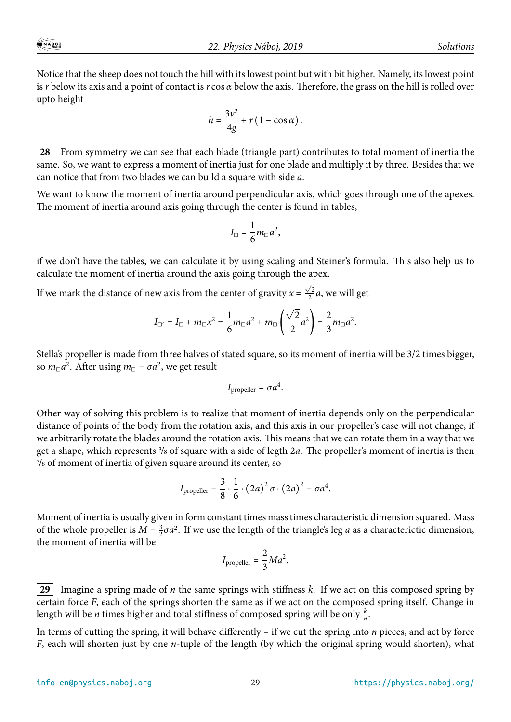Notice that the sheep does not touch the hill with its lowest point but with bit higher. Namely, its lowest point is *r* below its axis and a point of contact is *r* cos *α* below the axis. Therefore, the grass on the hill is rolled over upto height

$$
h=\frac{3v^2}{4g}+r(1-\cos\alpha).
$$

**28** From symmetry we can see that each blade (triangle part) contributes to total moment of inertia the same. So, we want to express a moment of inertia just for one blade and multiply it by three. Besides that we can notice that from two blades we can build a square with side *a*.

We want to know the moment of inertia around perpendicular axis, which goes through one of the apexes. The moment of inertia around axis going through the center is found in tables,

$$
I_{\square}=\frac{1}{6}m_{\square}a^2,
$$

if we don't have the tables, we can calculate it by using scaling and Steiner's formula. This also help us to calculate the moment of inertia around the axis going through the apex.

If we mark the distance of new axis from the center of gravity  $x = \frac{\sqrt{2}}{2}$  $\frac{\sqrt{2}}{2}a$ , we will get

$$
I_{\Box'} = I_{\Box} + m_{\Box} x^2 = \frac{1}{6} m_{\Box} a^2 + m_{\Box} \left( \frac{\sqrt{2}}{2} a^2 \right) = \frac{2}{3} m_{\Box} a^2.
$$

Stella's propeller is made from three halves of stated square, so its moment of inertia will be 3/2 times bigger, so  $m_{\Box}a^2$ . After using  $m_{\Box} = \sigma a^2$ , we get result

$$
I_{\text{propeller}} = \sigma a^4.
$$

Other way of solving this problem is to realize that moment of inertia depends only on the perpendicular distance of points of the body from the rotation axis, and this axis in our propeller's case will not change, if we arbitrarily rotate the blades around the rotation axis. This means that we can rotate them in a way that we get a shape, which represents <sup>3</sup>/<sup>8</sup> of square with a side of legth 2*a*. The propeller's moment of inertia is then <sup>3</sup>/<sup>8</sup> of moment of inertia of given square around its center, so

$$
I_{\text{propeller}} = \frac{3}{8} \cdot \frac{1}{6} \cdot (2a)^2 \sigma \cdot (2a)^2 = \sigma a^4.
$$

Moment of inertia is usually given in form constant times mass times characteristic dimension squared. Mass of the whole propeller is  $M = \frac{3}{2}$  $\frac{3}{2}\sigma a^2$ . If we use the length of the triangle's leg *a* as a characterictic dimension, the moment of inertia will be

$$
I_{\text{propeller}} = \frac{2}{3} Ma^2.
$$

**29** Imagine a spring made of *n* the same springs with stiffness *k*. If we act on this composed spring by certain force *F*, each of the springs shorten the same as if we act on the composed spring itself. Change in length will be *n* times higher and total stiffness of composed spring will be only  $\frac{k}{n}$ .

In terms of cutting the spring, it will behave differently – if we cut the spring into *n* pieces, and act by force *F*, each will shorten just by one *n*-tuple of the length (by which the original spring would shorten), what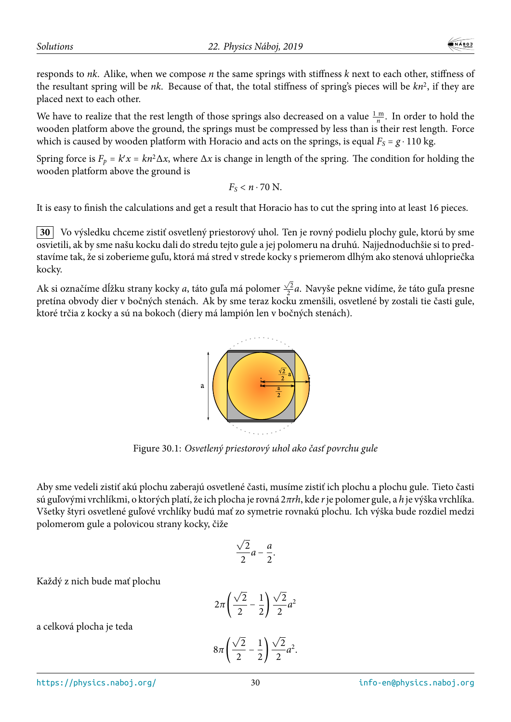responds to *nk*. Alike, when we compose *n* the same springs with stiffness *k* next to each other, stiffness of the resultant spring will be *nk*. Because of that, the total stiffness of spring's pieces will be *kn*<sup>2</sup> , if they are placed next to each other.

We have to realize that the rest length of those springs also decreased on a value  $\frac{1 \text{ m}}{n}$ . In order to hold the wooden platform above the ground, the springs must be compressed by less than is their rest length. Force which is caused by wooden platform with Horacio and acts on the springs, is equal  $F_s = g \cdot 110$  kg.

Spring force is  $F_p = k'x = kn^2\Delta x$ , where  $\Delta x$  is change in length of the spring. The condition for holding the wooden platform above the ground is

$$
F_S < n \cdot 70 \, \text{N}.
$$

It is easy to finish the calculations and get a result that Horacio has to cut the spring into at least 16 pieces.

**30** Vo výsledku chceme zistiť osvetlený priestorový uhol. Ten je rovný podielu plochy gule, ktorú by sme osvietili, ak by sme našu kocku dali do stredu tejto gule a jej polomeru na druhú. Najjednoduchšie si to predstavíme tak, že si zoberieme guľu, ktorá má stred v strede kocky s priemerom dlhým ako stenová uhlopriečka kocky.

Ak si označíme dĺžku strany kocky *a*, táto guľa má polomer  $\frac{\sqrt{2}}{2}$ 2 *a*. Navyše pekne vidíme, že táto guľa presne pretína obvody dier v bočných stenách. Ak by sme teraz kocku zmenšili, osvetlené by zostali tie časti gule, ktoré trčia z kocky a sú na bokoch (diery má lampión len v bočných stenách).



Figure 30.1: *Osvetlený priestorový uhol ako časť povrchu gule*

Aby sme vedeli zistiť akú plochu zaberajú osvetlené časti, musíme zistiť ich plochu a plochu gule. Tieto časti sú guľovými vrchlíkmi, o ktorých platí, že ich plocha je rovná 2*πrh*, kde *r*je polomer gule, a *h* je výška vrchlíka. Všetky štyri osvetlené guľové vrchlíky budú mať zo symetrie rovnakú plochu. Ich výška bude rozdiel medzi polomerom gule a polovicou strany kocky, čiže

$$
\frac{\sqrt{2}}{2}a-\frac{a}{2}.
$$

Každý z nich bude mať plochu

$$
2\pi\left(\frac{\sqrt{2}}{2}-\frac{1}{2}\right)\frac{\sqrt{2}}{2}a^2
$$

$$
8\pi\left(\frac{\sqrt{2}}{2}-\frac{1}{2}\right)\frac{\sqrt{2}}{2}a^2.
$$

a celková plocha je teda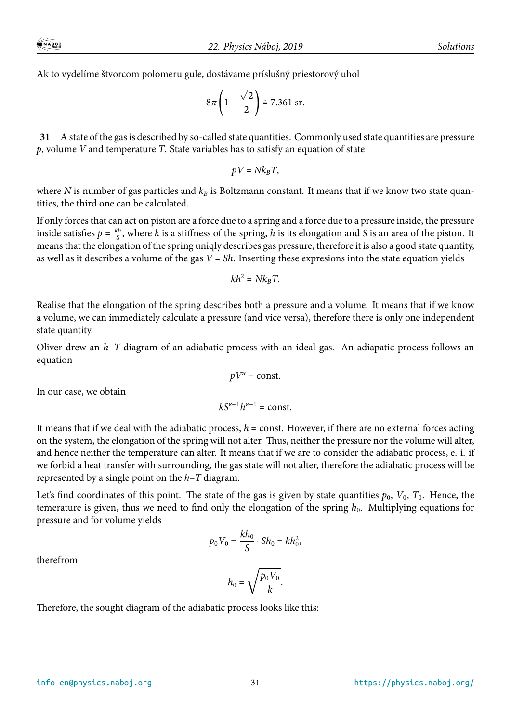Ak to vydelíme štvorcom polomeru gule, dostávame príslušný priestorový uhol

$$
8\pi \left(1 - \frac{\sqrt{2}}{2}\right) \doteq 7.361 \text{ sr.}
$$

**31** A state of the gas is described by so-called state quantities. Commonly used state quantities are pressure *p*, volume *V* and temperature *T*. State variables has to satisfy an equation of state

$$
pV = Nk_B T,
$$

where *N* is number of gas particles and  $k_B$  is Boltzmann constant. It means that if we know two state quantities, the third one can be calculated.

If only forces that can act on piston are a force due to a spring and a force due to a pressure inside, the pressure inside satisfies  $p = \frac{kh}{s}$  $\frac{S}{S}$ , where *k* is a stiffness of the spring, *h* is its elongation and *S* is an area of the piston. It means that the elongation of the spring uniqly describes gas pressure, therefore it is also a good state quantity, as well as it describes a volume of the gas *V* = *Sh*. Inserting these expresions into the state equation yields

$$
kh^2 = Nk_B T.
$$

Realise that the elongation of the spring describes both a pressure and a volume. It means that if we know a volume, we can immediately calculate a pressure (and vice versa), therefore there is only one independent state quantity.

Oliver drew an *h*–*T* diagram of an adiabatic process with an ideal gas. An adiapatic process follows an equation

 $pV^{\prime\prime}$  = const.

In our case, we obtain

$$
kS^{\varkappa-1}h^{\varkappa+1}=\mathrm{const.}
$$

It means that if we deal with the adiabatic process, *h* = const. However, if there are no external forces acting on the system, the elongation of the spring will not alter. Thus, neither the pressure nor the volume will alter, and hence neither the temperature can alter. It means that if we are to consider the adiabatic process, e. i. if we forbid a heat transfer with surrounding, the gas state will not alter, therefore the adiabatic process will be represented by a single point on the *h*–*T* diagram.

Let's find coordinates of this point. The state of the gas is given by state quantities  $p_0$ ,  $V_0$ ,  $T_0$ . Hence, the temerature is given, thus we need to find only the elongation of the spring  $h_0$ . Multiplying equations for pressure and for volume yields

$$
p_0 V_0 = \frac{k h_0}{S} \cdot Sh_0 = k h_0^2,
$$

therefrom

$$
h_0 = \sqrt{\frac{p_0 V_0}{k}}.
$$

Therefore, the sought diagram of the adiabatic process looks like this: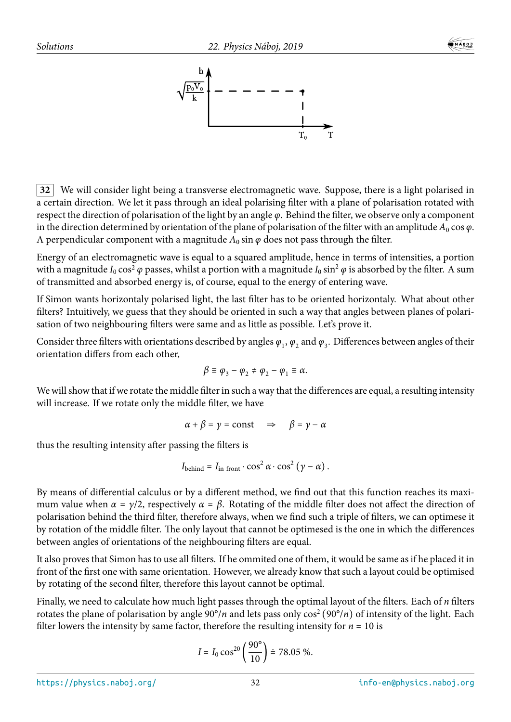

**32** We will consider light being a transverse electromagnetic wave. Suppose, there is a light polarised in a certain direction. We let it pass through an ideal polarising filter with a plane of polarisation rotated with respect the direction of polarisation of the light by an angle *φ*. Behind the filter, we observe only a component in the direction determined by orientation of the plane of polarisation of the filter with an amplitude  $A_0 \cos \varphi$ . A perpendicular component with a magnitude  $A_0$  sin  $\varphi$  does not pass through the filter.

Energy of an electromagnetic wave is equal to a squared amplitude, hence in terms of intensities, a portion with a magnitude  $I_0 \cos^2 \varphi$  passes, whilst a portion with a magnitude  $I_0 \sin^2 \varphi$  is absorbed by the filter. A sum of transmitted and absorbed energy is, of course, equal to the energy of entering wave.

If Simon wants horizontaly polarised light, the last filter has to be oriented horizontaly. What about other filters? Intuitively, we guess that they should be oriented in such a way that angles between planes of polarisation of two neighbouring filters were same and as little as possible. Let's prove it.

Consider three filters with orientations described by angles  $\varphi_1,\varphi_2$  and  $\varphi_3.$  Differences between angles of their orientation differs from each other,

$$
\beta \equiv \varphi_3 - \varphi_2 \neq \varphi_2 - \varphi_1 \equiv \alpha.
$$

We will show that if we rotate the middle filter in such a way that the differences are equal, a resulting intensity will increase. If we rotate only the middle filter, we have

$$
\alpha + \beta = \gamma = \text{const} \quad \Rightarrow \quad \beta = \gamma - \alpha
$$

thus the resulting intensity after passing the filters is

$$
I_{\text{behind}} = I_{\text{in front}} \cdot \cos^2 \alpha \cdot \cos^2 (\gamma - \alpha) .
$$

By means of differential calculus or by a different method, we find out that this function reaches its maximum value when  $\alpha = \gamma/2$ , respectively  $\alpha = \beta$ . Rotating of the middle filter does not affect the direction of polarisation behind the third filter, therefore always, when we find such a triple of filters, we can optimese it by rotation of the middle filter. The only layout that cannot be optimesed is the one in which the differences between angles of orientations of the neighbouring filters are equal.

It also proves that Simon has to use all filters. If he ommited one of them, it would be same as if he placed it in front of the first one with same orientation. However, we already know that such a layout could be optimised by rotating of the second filter, therefore this layout cannot be optimal.

Finally, we need to calculate how much light passes through the optimal layout of the filters. Each of *n* filters rotates the plane of polarisation by angle  $90^{\circ}/n$  and lets pass only  $\cos^2(90^{\circ}/n)$  of intensity of the light. Each filter lowers the intensity by same factor, therefore the resulting intensity for  $n = 10$  is

$$
I = I_0 \cos^{20} \left( \frac{90^{\circ}}{10} \right) \doteq 78.05 \%
$$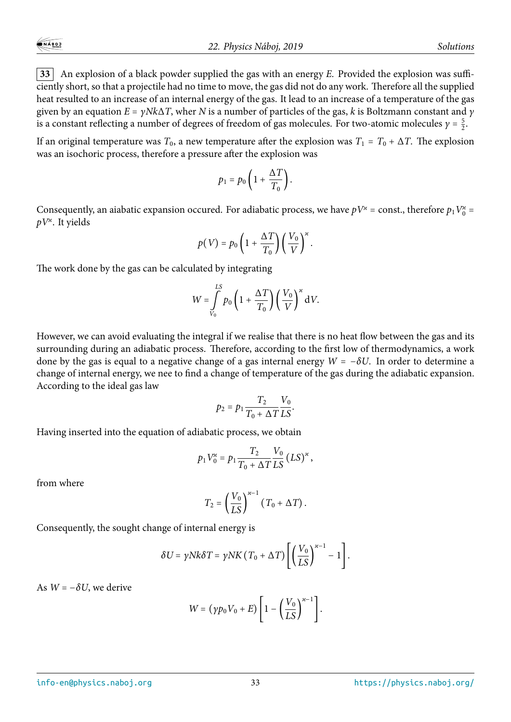**33** An explosion of a black powder supplied the gas with an energy  $E$ . Provided the explosion was sufficiently short, so that a projectile had no time to move, the gas did not do any work. Therefore all the supplied heat resulted to an increase of an internal energy of the gas. It lead to an increase of a temperature of the gas given by an equation *E* = *γNk*Δ*T*, wher *N* is a number of particles of the gas, *k* is Boltzmann constant and *γ* is a constant reflecting a number of degrees of freedom of gas molecules. For two-atomic molecules  $\gamma = \frac{5}{2}$  $\frac{5}{2}$ .

If an original temperature was  $T_0$ , a new temperature after the explosion was  $T_1 = T_0 + \Delta T$ . The explosion was an isochoric process, therefore a pressure after the explosion was

$$
p_1 = p_0 \left( 1 + \frac{\Delta T}{T_0} \right).
$$

Consequently, an aiabatic expansion occured. For adiabatic process, we have  $pV^* = \text{const.}$ , therefore  $p_1 V_0^* =$ *pV<sup>ϰ</sup>* . It yields

$$
p(V) = p_0 \left( 1 + \frac{\Delta T}{T_0} \right) \left( \frac{V_0}{V} \right)^{\varkappa}.
$$

The work done by the gas can be calculated by integrating

$$
W = \int_{V_0}^{LS} p_0 \left( 1 + \frac{\Delta T}{T_0} \right) \left( \frac{V_0}{V} \right)^x dV.
$$

However, we can avoid evaluating the integral if we realise that there is no heat flow between the gas and its surrounding during an adiabatic process. Therefore, according to the first low of thermodynamics, a work done by the gas is equal to a negative change of a gas internal energy *W* = −*δU*. In order to determine a change of internal energy, we nee to find a change of temperature of the gas during the adiabatic expansion. According to the ideal gas law

$$
p_2 = p_1 \frac{T_2}{T_0 + \Delta T} \frac{V_0}{LS}.
$$

Having inserted into the equation of adiabatic process, we obtain

$$
p_1 V_0^* = p_1 \frac{T_2}{T_0 + \Delta T} \frac{V_0}{LS} (LS)^* ,
$$

from where

$$
T_2 = \left(\frac{V_0}{LS}\right)^{\varkappa - 1} (T_0 + \Delta T).
$$

Consequently, the sought change of internal energy is

$$
\delta U = \gamma N k \delta T = \gamma N K (T_0 + \Delta T) \left[ \left( \frac{V_0}{LS} \right)^{\kappa - 1} - 1 \right].
$$

As  $W = -\delta U$ , we derive

$$
W = (\gamma p_0 V_0 + E) \left[ 1 - \left(\frac{V_0}{LS}\right)^{\kappa - 1} \right].
$$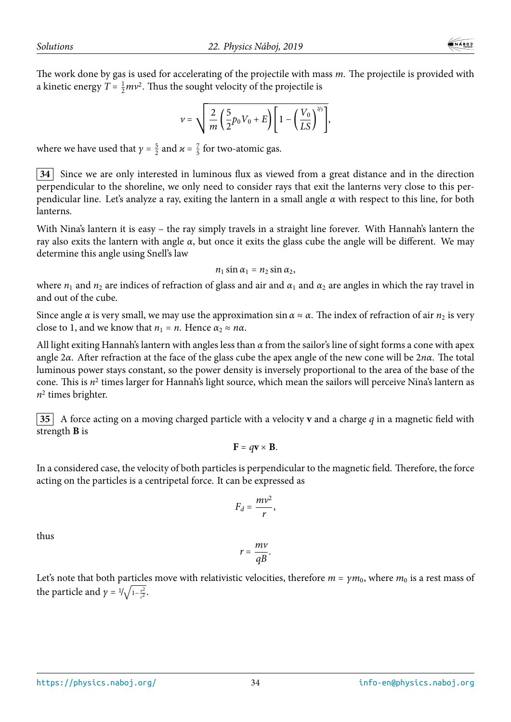The work done by gas is used for accelerating of the projectile with mass *m*. The projectile is provided with a kinetic energy  $T = \frac{1}{2}mv^2$ . Thus the sought velocity of the projectile is

$$
v = \sqrt{\frac{2}{m} \left( \frac{5}{2} p_0 V_0 + E \right) \left[ 1 - \left( \frac{V_0}{LS} \right)^{2/5} \right]},
$$

where we have used that  $\gamma = \frac{5}{2}$  $\frac{5}{2}$  and  $\varkappa = \frac{7}{5}$  $\frac{7}{5}$  for two-atomic gas.

**34** Since we are only interested in luminous flux as viewed from a great distance and in the direction perpendicular to the shoreline, we only need to consider rays that exit the lanterns very close to this perpendicular line. Let's analyze a ray, exiting the lantern in a small angle *α* with respect to this line, for both lanterns.

With Nina's lantern it is easy – the ray simply travels in a straight line forever. With Hannah's lantern the ray also exits the lantern with angle *α*, but once it exits the glass cube the angle will be different. We may determine this angle using Snell's law

$$
n_1\sin\alpha_1=n_2\sin\alpha_2,
$$

where  $n_1$  and  $n_2$  are indices of refraction of glass and air and  $\alpha_1$  and  $\alpha_2$  are angles in which the ray travel in and out of the cube.

Since angle  $\alpha$  is very small, we may use the approximation sin  $\alpha \approx \alpha$ . The index of refraction of air  $n_2$  is very close to 1, and we know that  $n_1 = n$ . Hence  $\alpha_2 \approx n\alpha$ .

All light exiting Hannah's lantern with angles less than *α* from the sailor's line of sight forms a cone with apex angle 2*α*. After refraction at the face of the glass cube the apex angle of the new cone will be 2*nα*. The total luminous power stays constant, so the power density is inversely proportional to the area of the base of the cone. This is  $n^2$  times larger for Hannah's light source, which mean the sailors will perceive Nina's lantern as *n* 2 times brighter.

**35** A force acting on a moving charged particle with a velocity **v** and a charge *q* in a magnetic field with strength **B** is

$$
\mathbf{F}=q\mathbf{v}\times\mathbf{B}.
$$

In a considered case, the velocity of both particles is perpendicular to the magnetic field. Therefore, the force acting on the particles is a centripetal force. It can be expressed as

$$
F_d=\frac{mv^2}{r},
$$

thus

$$
r=\frac{mv}{qB}.
$$

Let's note that both particles move with relativistic velocities, therefore  $m = \gamma m_0$ , where  $m_0$  is a rest mass of the particle and  $\gamma = 1/\sqrt{1 - \frac{v^2}{c^2}}$  $\frac{v^2}{c^2}$ .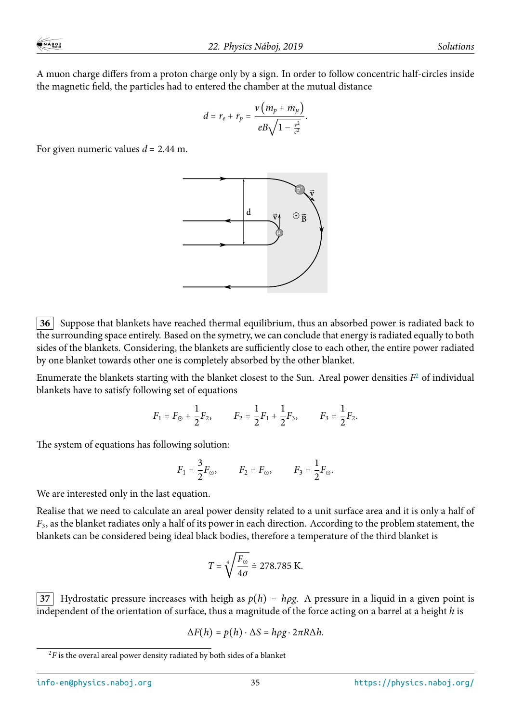A muon charge differs from a proton charge only by a sign. In order to follow concentric half-circles inside the magnetic field, the particles had to entered the chamber at the mutual distance

$$
d = r_e + r_p = \frac{v(m_p + m_\mu)}{eB\sqrt{1 - \frac{v^2}{c^2}}}.
$$

For given numeric values *d* = 2.44 m.



**36** Suppose that blankets have reached thermal equilibrium, thus an absorbed power is radiated back to the surrounding space entirely. Based on the symetry, we can conclude that energy is radiated equally to both sides of the blankets. Considering, the blankets are sufficiently close to each other, the entire power radiated by one blanket towards other one is completely absorbed by the other blanket.

Enumerate the blankets starting with the blanket closest to the Sun. Areal power densities *F* <sup>2</sup> of individual blankets have to satisfy following set of equations

$$
F_1 = F_{\odot} + \frac{1}{2}F_2
$$
,  $F_2 = \frac{1}{2}F_1 + \frac{1}{2}F_3$ ,  $F_3 = \frac{1}{2}F_2$ .

The system of equations has following solution:

$$
F_1 = \frac{3}{2} F_{\odot}
$$
,  $F_2 = F_{\odot}$ ,  $F_3 = \frac{1}{2} F_{\odot}$ .

We are interested only in the last equation.

Realise that we need to calculate an areal power density related to a unit surface area and it is only a half of *F*3, as the blanket radiates only a half of its power in each direction. According to the problem statement, the blankets can be considered being ideal black bodies, therefore a temperature of the third blanket is

$$
T = \sqrt[4]{\frac{F_{\odot}}{4\sigma}} \doteq 278.785 \text{ K}.
$$

**37** Hydrostatic pressure increases with heigh as  $p(h) = h\rho g$ . A pressure in a liquid in a given point is independent of the orientation of surface, thus a magnitude of the force acting on a barrel at a height *h* is

$$
\Delta F(h) = p(h) \cdot \Delta S = h \rho g \cdot 2 \pi R \Delta h.
$$

 $2F$  is the overal areal power density radiated by both sides of a blanket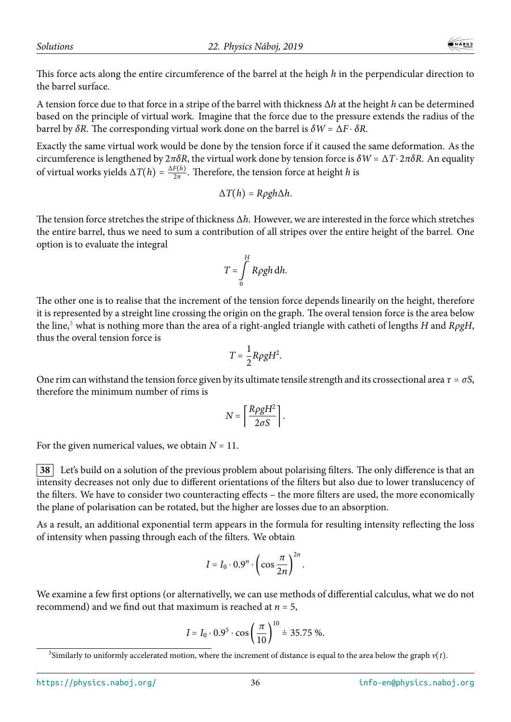This force acts along the entire circumference of the barrel at the heigh *h* in the perpendicular direction to the barrel surface.

A tension force due to that force in a stripe of the barrel with thickness Δ*h* at the height *h* can be determined based on the principle of virtual work. Imagine that the force due to the pressure extends the radius of the barrel by *δR*. The corresponding virtual work done on the barrel is *δW* = Δ*F* ⋅ *δR*.

Exactly the same virtual work would be done by the tension force if it caused the same deformation. As the circumference is lengthened by 2*πδR*, the virtual work done by tension force is *δW* = Δ*T*⋅ 2*πδR*. An equality of virtual works yields  $\Delta T(h) = \frac{\Delta F(h)}{2\pi}$ . Therefore, the tension force at height *h* is

$$
\Delta T(h) = R \rho g h \Delta h.
$$

The tension force stretches the stripe of thickness Δ*h*. However, we are interested in the force which stretches the entire barrel, thus we need to sum a contribution of all stripes over the entire height of the barrel. One option is to evaluate the integral

$$
T=\int\limits_{0}^{H}R\rho gh\,dh.
$$

The other one is to realise that the increment of the tension force depends linearily on the height, therefore it is represented by a streight line crossing the origin on the graph. The overal tension force is the area below the line,<sup>3</sup> what is nothing more than the area of a right-angled triangle with catheti of lengths *H* and *RρgH*, thus the overal tension force is

$$
T=\frac{1}{2}R\rho gH^2.
$$

One rim can withstand the tension force given by its ultimate tensile strength and its crossectional area  $\tau = \sigma S$ , therefore the minimum number of rims is

$$
N = \left\lceil \frac{R\rho gH^2}{2\sigma S} \right\rceil.
$$

For the given numerical values, we obtain  $N = 11$ .

**38** Let's build on a solution of the previous problem about polarising filters. The only difference is that an intensity decreases not only due to different orientations of the filters but also due to lower translucency of the filters. We have to consider two counteracting effects – the more filters are used, the more economically the plane of polarisation can be rotated, but the higher are losses due to an absorption.

As a result, an additional exponential term appears in the formula for resulting intensity reflecting the loss of intensity when passing through each of the filters. We obtain

$$
I = I_0 \cdot 0.9^n \cdot \left(\cos \frac{\pi}{2n}\right)^{2n}.
$$

We examine a few first options (or alternativelly, we can use methods of differential calculus, what we do not recommend) and we find out that maximum is reached at *n* = 5,

$$
I = I_0 \cdot 0.9^5 \cdot \cos\left(\frac{\pi}{10}\right)^{10} \doteq 35.75 \, \%
$$

<sup>&</sup>lt;sup>3</sup>Similarly to uniformly accelerated motion, where the increment of distance is equal to the area below the graph  $v(t)$ .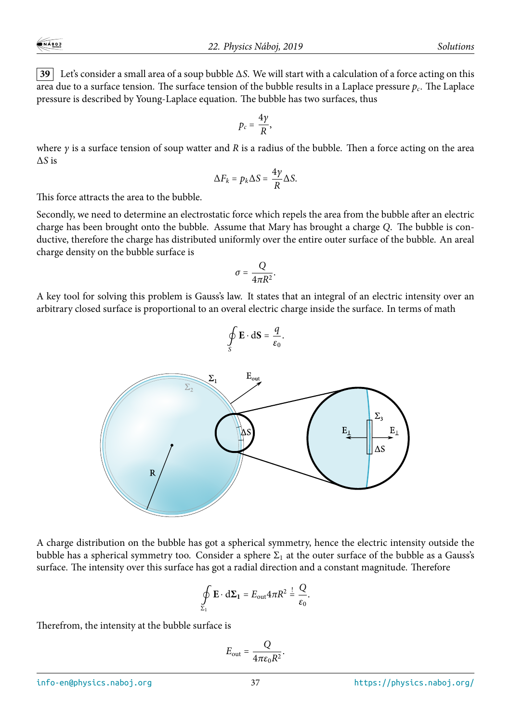**39** Let's consider a small area of a soup bubble Δ*S*. We will start with a calculation of a force acting on this area due to a surface tension. The surface tension of the bubble results in a Laplace pressure *p<sup>c</sup>* . The Laplace pressure is described by Young-Laplace equation. The bubble has two surfaces, thus

$$
p_c=\frac{4\gamma}{R},
$$

where *γ* is a surface tension of soup watter and *R* is a radius of the bubble. Then a force acting on the area Δ*S* is

$$
\Delta F_k = p_k \Delta S = \frac{4\gamma}{R} \Delta S.
$$

This force attracts the area to the bubble.

Secondly, we need to determine an electrostatic force which repels the area from the bubble after an electric charge has been brought onto the bubble. Assume that Mary has brought a charge *Q*. The bubble is conductive, therefore the charge has distributed uniformly over the entire outer surface of the bubble. An areal charge density on the bubble surface is

$$
\sigma=\frac{Q}{4\pi R^2}.
$$

A key tool for solving this problem is Gauss's law. It states that an integral of an electric intensity over an arbitrary closed surface is proportional to an overal electric charge inside the surface. In terms of math

 $\mathbf{E} \cdot d\mathbf{S} = \frac{q}{g_q}$ 

.



A charge distribution on the bubble has got a spherical symmetry, hence the electric intensity outside the bubble has a spherical symmetry too. Consider a sphere  $\Sigma_1$  at the outer surface of the bubble as a Gauss's surface. The intensity over this surface has got a radial direction and a constant magnitude. Therefore

$$
\oint_{\Sigma_1} \mathbf{E} \cdot d\Sigma_1 = E_{\text{out}} 4\pi R^2 = \frac{Q}{\varepsilon_0}.
$$

Therefrom, the intensity at the bubble surface is

$$
E_{\rm out} = \frac{Q}{4\pi\epsilon_0 R^2}.
$$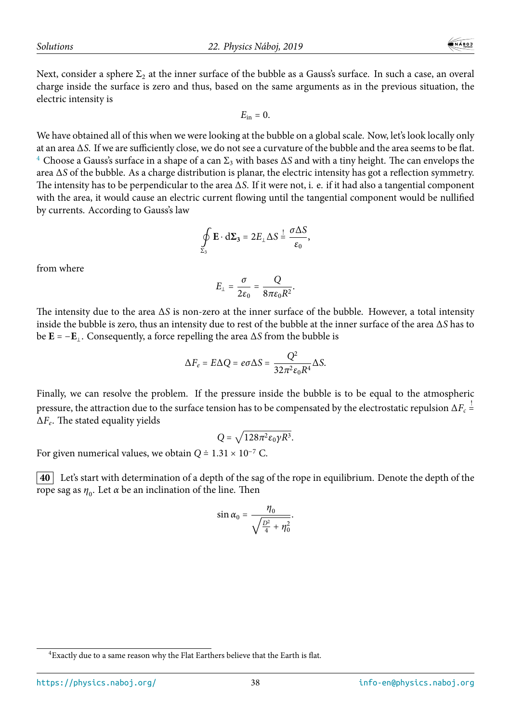electric intensity is

 $INABOJ$ 

 $E_{\rm in} = 0$ .

We have obtained all of this when we were looking at the bubble on a global scale. Now, let's look locally only at an area Δ*S*. If we are sufficiently close, we do not see a curvature of the bubble and the area seems to be flat. <sup>4</sup> Choose a Gauss's surface in a shape of a can  $\Sigma_3$  with bases  $\Delta S$  and with a tiny height. The can envelops the area Δ*S* of the bubble. As a charge distribution is planar, the electric intensity has got a reflection symmetry. The intensity has to be perpendicular to the area Δ*S*. If it were not, i. e. if it had also a tangential component with the area, it would cause an electric current flowing until the tangential component would be nullified by currents. According to Gauss's law

$$
\oint_{\Sigma_3} \mathbf{E} \cdot d\Sigma_3 = 2E_\perp \Delta S \stackrel{!}{=} \frac{\sigma \Delta S}{\varepsilon_0},
$$

from where

$$
E_{\perp}=\frac{\sigma}{2\varepsilon_0}=\frac{Q}{8\pi\varepsilon_0R^2}.
$$

The intensity due to the area Δ*S* is non-zero at the inner surface of the bubble. However, a total intensity inside the bubble is zero, thus an intensity due to rest of the bubble at the inner surface of the area Δ*S* has to be  $\mathbf{E} = -\mathbf{E}_{\perp}$ . Consequently, a force repelling the area  $\Delta S$  from the bubble is

$$
\Delta F_e = E \Delta Q = e \sigma \Delta S = \frac{Q^2}{32\pi^2 \varepsilon_0 R^4} \Delta S.
$$

Finally, we can resolve the problem. If the pressure inside the bubble is to be equal to the atmospheric pressure, the attraction due to the surface tension has to be compensated by the electrostatic repulsion  $\Delta F_c$   $\stackrel{!}{=}$ = Δ*F<sup>e</sup>* . The stated equality yields

$$
Q = \sqrt{128\pi^2 \varepsilon_0 \gamma R^3}.
$$

For given numerical values, we obtain  $Q \doteq 1.31 \times 10^{-7}$  C.

**40** Let's start with determination of a depth of the sag of the rope in equilibrium. Denote the depth of the rope sag as  $η_0$ . Let *α* be an inclination of the line. Then

$$
\sin \alpha_0 = \frac{\eta_0}{\sqrt{\frac{D^2}{4} + \eta_0^2}}.
$$

 ${}^{4}$ Exactly due to a same reason why the Flat Earthers believe that the Earth is flat.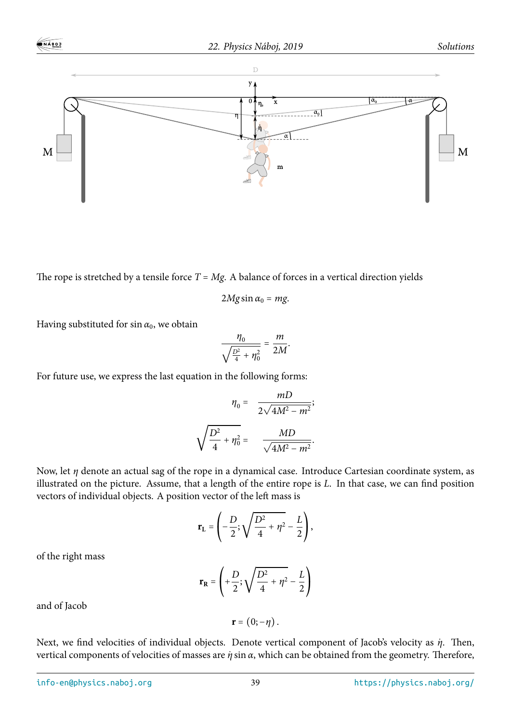

The rope is stretched by a tensile force  $T = Mg$ . A balance of forces in a vertical direction yields

$$
2Mg\sin\alpha_0 = mg.
$$

Having substituted for  $\sin \alpha_0$ , we obtain

$$
\frac{\eta_0}{\sqrt{\frac{D^2}{4}+\eta_0^2}}=\frac{m}{2M}.
$$

For future use, we express the last equation in the following forms:

$$
\eta_0 = \frac{mD}{2\sqrt{4M^2 - m^2}};
$$
  

$$
\sqrt{\frac{D^2}{4} + \eta_0^2} = \frac{MD}{\sqrt{4M^2 - m^2}}.
$$

Now, let *η* denote an actual sag of the rope in a dynamical case. Introduce Cartesian coordinate system, as illustrated on the picture. Assume, that a length of the entire rope is *L*. In that case, we can find position vectors of individual objects. A position vector of the left mass is

$$
\mathbf{r}_{\mathbf{L}} = \left(-\frac{D}{2}; \sqrt{\frac{D^2}{4} + \eta^2} - \frac{L}{2}\right),\end{aligned}
$$

of the right mass

$$
\mathbf{r}_{\mathbf{R}} = \left( +\frac{D}{2}; \sqrt{\frac{D^2}{4} + \eta^2} - \frac{L}{2} \right)
$$

and of Jacob

$$
\mathbf{r}=(0;-\eta)\,.
$$

Next, we find velocities of individual objects. Denote vertical component of Jacob's velocity as *η*<sup>*n*</sup>. Then, vertical components of velocities of masses are *η*˙ sin *α*, which can be obtained from the geometry. Therefore,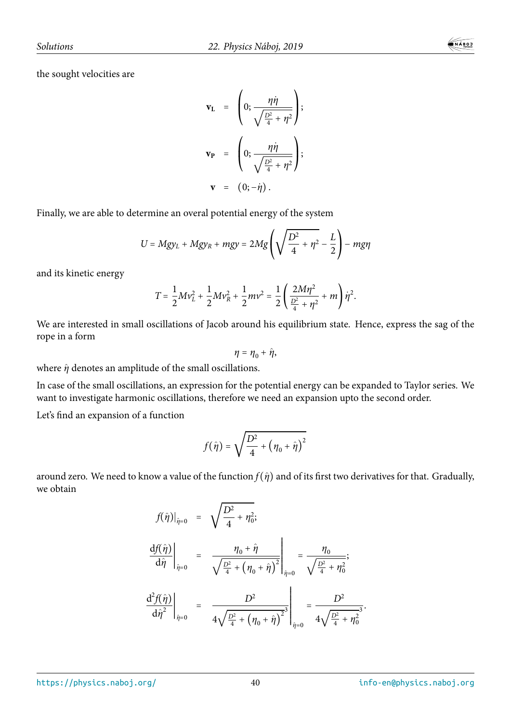$$
\mathbf{v}_{\mathbf{L}} = \left(0; \frac{\eta \dot{\eta}}{\sqrt{\frac{D^2}{4} + \eta^2}}\right);
$$

$$
\mathbf{v}_{\mathbf{P}} = \left(0; \frac{\eta \dot{\eta}}{\sqrt{\frac{D^2}{4} + \eta^2}}\right);
$$

$$
\mathbf{v} = (0; -\dot{\eta}).
$$

Finally, we are able to determine an overal potential energy of the system

$$
U = Mgy_L + Mgy_R + mgy = 2Mg\left(\sqrt{\frac{D^2}{4} + \eta^2} - \frac{L}{2}\right) - mgy
$$

and its kinetic energy

$$
T = \frac{1}{2}Mv_L^2 + \frac{1}{2}Mv_R^2 + \frac{1}{2}mv^2 = \frac{1}{2}\left(\frac{2M\eta^2}{\frac{D^2}{4} + \eta^2} + m\right)\dot{\eta}^2.
$$

We are interested in small oscillations of Jacob around his equilibrium state. Hence, express the sag of the rope in a form

$$
\eta=\eta_0+\hat{\eta},
$$

where  $\hat{\eta}$  denotes an amplitude of the small oscillations.

In case of the small oscillations, an expression for the potential energy can be expanded to Taylor series. We want to investigate harmonic oscillations, therefore we need an expansion upto the second order.

Let's find an expansion of a function

$$
f(\hat{\eta}) = \sqrt{\frac{D^2}{4} + \left(\eta_0 + \hat{\eta}\right)^2}
$$

around zero. We need to know a value of the function  $f(\hat{\eta})$  and of its first two derivatives for that. Gradually, we obtain

$$
f(\hat{\eta})|_{\hat{\eta}=0} = \sqrt{\frac{D^2}{4} + \eta_0^2};
$$
  

$$
\frac{df(\hat{\eta})}{d\hat{\eta}}|_{\hat{\eta}=0} = \frac{\eta_0 + \hat{\eta}}{\sqrt{\frac{D^2}{4} + (\eta_0 + \hat{\eta})^2}}|_{\hat{\eta}=0} = \frac{\eta_0}{\sqrt{\frac{D^2}{4} + \eta_0^2}};
$$
  

$$
\frac{d^2f(\hat{\eta})}{d\hat{\eta}^2}|_{\hat{\eta}=0} = \frac{D^2}{4\sqrt{\frac{D^2}{4} + (\eta_0 + \hat{\eta})^2}}|_{\hat{\eta}=0} = \frac{D^2}{4\sqrt{\frac{D^2}{4} + \eta_0^2}}.
$$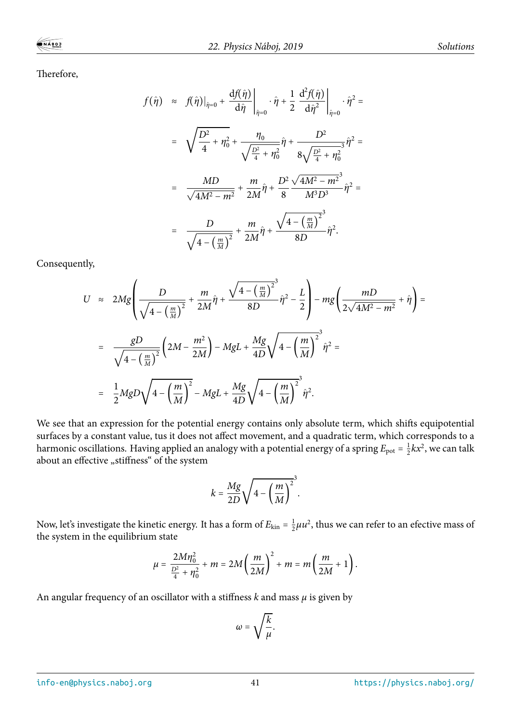Therefore,

$$
f(\hat{\eta}) \approx f(\hat{\eta})|_{\hat{\eta}=0} + \frac{df(\hat{\eta})}{d\hat{\eta}}|_{\hat{\eta}=0} \cdot \hat{\eta} + \frac{1}{2} \frac{d^2 f(\hat{\eta})}{d\hat{\eta}^2}|_{\hat{\eta}=0} \cdot \hat{\eta}^2 =
$$
  

$$
= \sqrt{\frac{D^2}{4} + \eta_0^2} + \frac{\eta_0}{\sqrt{\frac{D^2}{4} + \eta_0^2}} \hat{\eta} + \frac{D^2}{8\sqrt{\frac{D^2}{4} + \eta_0^2}} \hat{\eta}^2 =
$$
  

$$
= \frac{MD}{\sqrt{4M^2 - m^2}} + \frac{m}{2M} \hat{\eta} + \frac{D^2}{8} \frac{\sqrt{4M^2 - m^2}^3}{M^3 D^3} \hat{\eta}^2 =
$$
  

$$
= \frac{D}{\sqrt{4 - \left(\frac{m}{M}\right)^2}} + \frac{m}{2M} \hat{\eta} + \frac{\sqrt{4 - \left(\frac{m}{M}\right)^2}^3}{8D} \hat{\eta}^2.
$$

Consequently,

$$
U \approx 2Mg \left( \frac{D}{\sqrt{4 - \left(\frac{m}{M}\right)^2}} + \frac{m}{2M} \hat{\eta} + \frac{\sqrt{4 - \left(\frac{m}{M}\right)^2}}{8D} \hat{\eta}^2 - \frac{L}{2} \right) - mg \left( \frac{mD}{2\sqrt{4M^2 - m^2}} + \hat{\eta} \right) =
$$
  
= 
$$
\frac{gD}{\sqrt{4 - \left(\frac{m}{M}\right)^2}} \left( 2M - \frac{m^2}{2M} \right) - MgL + \frac{Mg}{4D} \sqrt{4 - \left(\frac{m}{M}\right)^2} \hat{\eta}^2 =
$$
  
= 
$$
\frac{1}{2}MgD\sqrt{4 - \left(\frac{m}{M}\right)^2} - MgL + \frac{Mg}{4D} \sqrt{4 - \left(\frac{m}{M}\right)^2} \hat{\eta}^2.
$$

We see that an expression for the potential energy contains only absolute term, which shifts equipotential surfaces by a constant value, tus it does not affect movement, and a quadratic term, which corresponds to a harmonic oscillations. Having applied an analogy with a potential energy of a spring  $E_{\text{pot}} = \frac{1}{2}$  $\frac{1}{2}kx^2$ , we can talk about an effective "stiffness" of the system

$$
k = \frac{Mg}{2D} \sqrt{4 - \left(\frac{m}{M}\right)^2}.
$$

Now, let's investigate the kinetic energy. It has a form of  $E_{\text{kin}} = \frac{1}{2}$  $\frac{1}{2}\mu u^2$ , thus we can refer to an efective mass of the system in the equilibrium state

$$
\mu = \frac{2M\eta_0^2}{\frac{D^2}{4} + \eta_0^2} + m = 2M\left(\frac{m}{2M}\right)^2 + m = m\left(\frac{m}{2M} + 1\right).
$$

An angular frequency of an oscillator with a stiffness *k* and mass *μ* is given by

$$
\omega = \sqrt{\frac{k}{\mu}}.
$$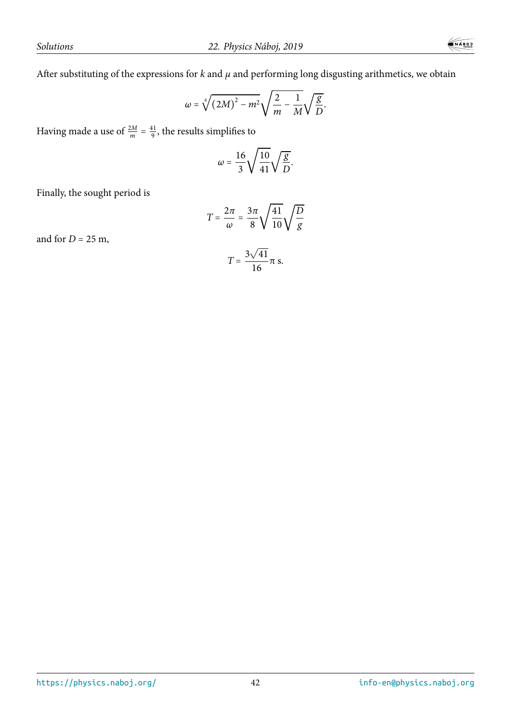After substituting of the expressions for *k* and *μ* and performing long disgusting arithmetics, we obtain

$$
\omega=\sqrt[4]{(2M)^2-m^2}\sqrt{\frac{2}{m}-\frac{1}{M}}\sqrt{\frac{g}{D}}.
$$

Having made a use of  $\frac{2M}{m} = \frac{41}{9}$  $\frac{11}{9}$ , the results simplifies to

$$
\omega=\frac{16}{3}\sqrt{\frac{10}{41}}\sqrt{\frac{g}{D}}.
$$

Finally, the sought period is

$$
T=\frac{2\pi}{\omega}=\frac{3\pi}{8}\sqrt{\frac{41}{10}}\sqrt{\frac{D}{g}}
$$

and for  $D = 25$  m,

$$
T=\frac{3\sqrt{41}}{16}\pi \text{ s}.
$$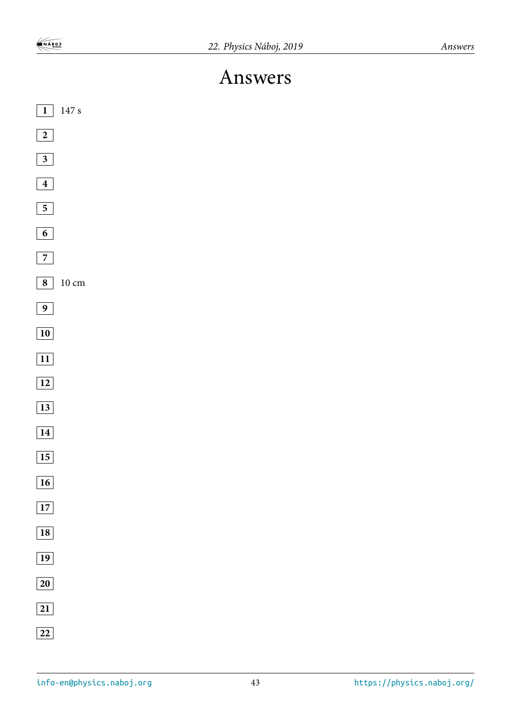## Answers